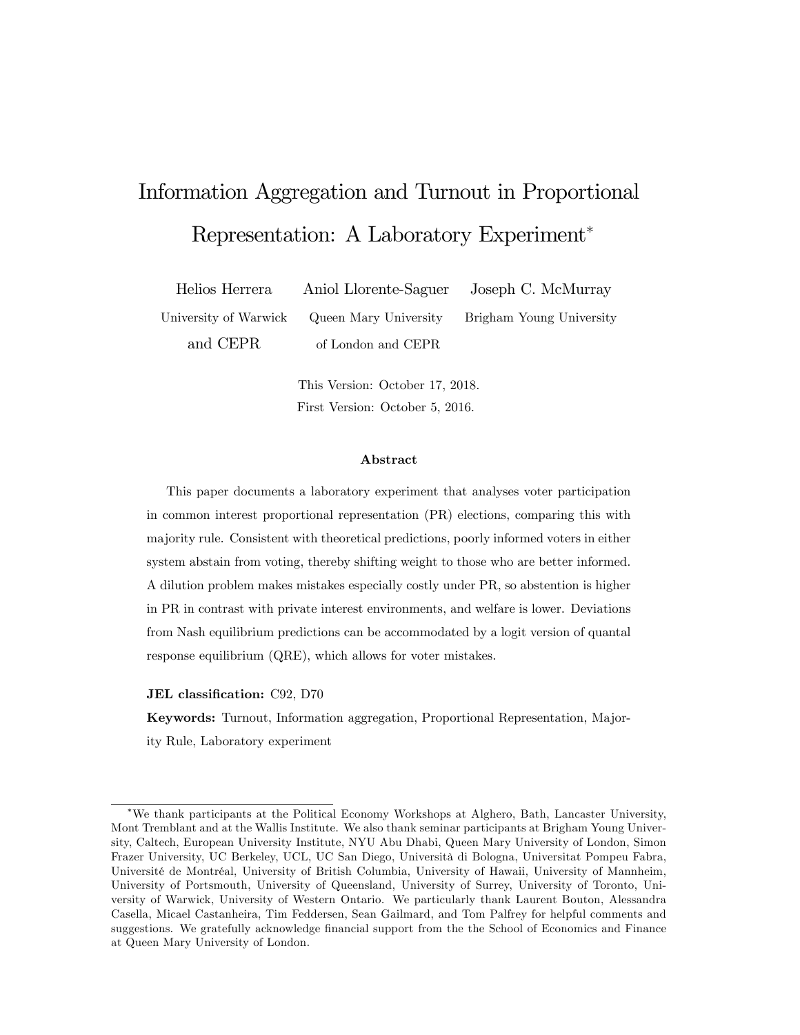# Information Aggregation and Turnout in Proportional Representation: A Laboratory Experiment

Helios Herrera Aniol Llorente-Saguer Joseph C. McMurray University of Warwick Queen Mary University Brigham Young University and CEPR of London and CEPR

> This Version: October 17, 2018. First Version: October 5, 2016.

#### Abstract

This paper documents a laboratory experiment that analyses voter participation in common interest proportional representation (PR) elections, comparing this with majority rule. Consistent with theoretical predictions, poorly informed voters in either system abstain from voting, thereby shifting weight to those who are better informed. A dilution problem makes mistakes especially costly under PR, so abstention is higher in PR in contrast with private interest environments, and welfare is lower. Deviations from Nash equilibrium predictions can be accommodated by a logit version of quantal response equilibrium (QRE), which allows for voter mistakes.

JEL classification: C92, D70

Keywords: Turnout, Information aggregation, Proportional Representation, Majority Rule, Laboratory experiment

We thank participants at the Political Economy Workshops at Alghero, Bath, Lancaster University, Mont Tremblant and at the Wallis Institute. We also thank seminar participants at Brigham Young University, Caltech, European University Institute, NYU Abu Dhabi, Queen Mary University of London, Simon Frazer University, UC Berkeley, UCL, UC San Diego, Università di Bologna, Universitat Pompeu Fabra, Université de Montréal, University of British Columbia, University of Hawaii, University of Mannheim, University of Portsmouth, University of Queensland, University of Surrey, University of Toronto, University of Warwick, University of Western Ontario. We particularly thank Laurent Bouton, Alessandra Casella, Micael Castanheira, Tim Feddersen, Sean Gailmard, and Tom Palfrey for helpful comments and suggestions. We gratefully acknowledge financial support from the the School of Economics and Finance at Queen Mary University of London.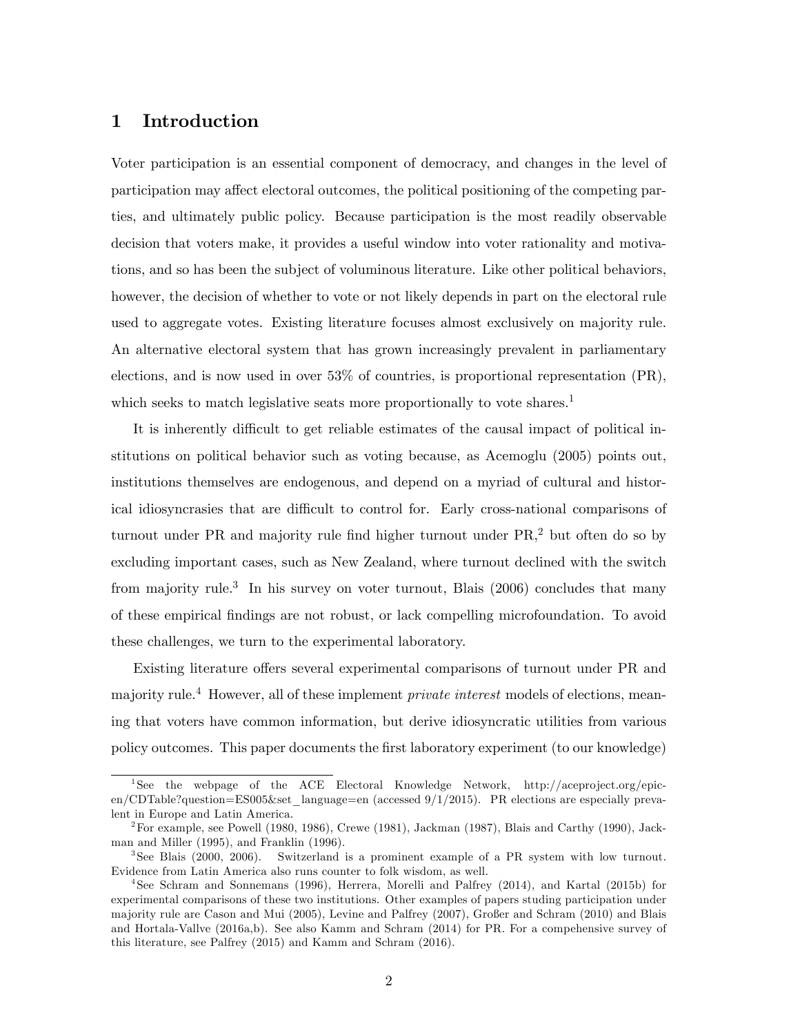## 1 Introduction

Voter participation is an essential component of democracy, and changes in the level of participation may affect electoral outcomes, the political positioning of the competing parties, and ultimately public policy. Because participation is the most readily observable decision that voters make, it provides a useful window into voter rationality and motivations, and so has been the subject of voluminous literature. Like other political behaviors, however, the decision of whether to vote or not likely depends in part on the electoral rule used to aggregate votes. Existing literature focuses almost exclusively on majority rule. An alternative electoral system that has grown increasingly prevalent in parliamentary elections, and is now used in over 53% of countries, is proportional representation (PR), which seeks to match legislative seats more proportionally to vote shares.<sup>1</sup>

It is inherently difficult to get reliable estimates of the causal impact of political institutions on political behavior such as voting because, as Acemoglu (2005) points out, institutions themselves are endogenous, and depend on a myriad of cultural and historical idiosyncrasies that are difficult to control for. Early cross-national comparisons of turnout under PR and majority rule find higher turnout under  $PR<sub>1</sub><sup>2</sup>$  but often do so by excluding important cases, such as New Zealand, where turnout declined with the switch from majority rule.<sup>3</sup> In his survey on voter turnout, Blais (2006) concludes that many of these empirical Öndings are not robust, or lack compelling microfoundation. To avoid these challenges, we turn to the experimental laboratory.

Existing literature offers several experimental comparisons of turnout under PR and majority rule.<sup>4</sup> However, all of these implement *private interest* models of elections, meaning that voters have common information, but derive idiosyncratic utilities from various policy outcomes. This paper documents the Örst laboratory experiment (to our knowledge)

<sup>1</sup> See the webpage of the ACE Electoral Knowledge Network, http://aceproject.org/epicen/CDTable?question=ES005&set\_language=en (accessed 9/1/2015). PR elections are especially prevalent in Europe and Latin America.

<sup>&</sup>lt;sup>2</sup>For example, see Powell (1980, 1986), Crewe (1981), Jackman (1987), Blais and Carthy (1990), Jackman and Miller (1995), and Franklin (1996).

<sup>3</sup> See Blais (2000, 2006). Switzerland is a prominent example of a PR system with low turnout. Evidence from Latin America also runs counter to folk wisdom, as well.

<sup>4</sup> See Schram and Sonnemans (1996), Herrera, Morelli and Palfrey (2014), and Kartal (2015b) for experimental comparisons of these two institutions. Other examples of papers studing participation under majority rule are Cason and Mui (2005), Levine and Palfrey (2007), Großer and Schram (2010) and Blais and Hortala-Vallve (2016a,b). See also Kamm and Schram (2014) for PR. For a compehensive survey of this literature, see Palfrey (2015) and Kamm and Schram (2016).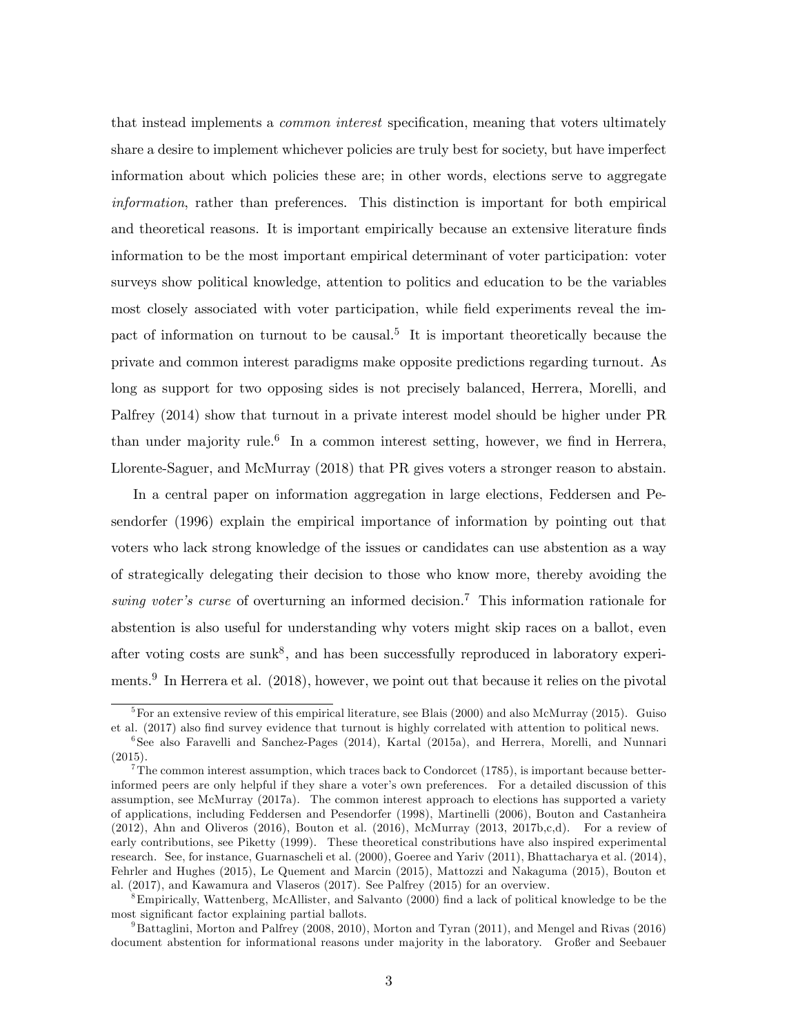that instead implements a *common interest* specification, meaning that voters ultimately share a desire to implement whichever policies are truly best for society, but have imperfect information about which policies these are; in other words, elections serve to aggregate information, rather than preferences. This distinction is important for both empirical and theoretical reasons. It is important empirically because an extensive literature finds information to be the most important empirical determinant of voter participation: voter surveys show political knowledge, attention to politics and education to be the variables most closely associated with voter participation, while field experiments reveal the impact of information on turnout to be causal.<sup>5</sup> It is important theoretically because the private and common interest paradigms make opposite predictions regarding turnout. As long as support for two opposing sides is not precisely balanced, Herrera, Morelli, and Palfrey (2014) show that turnout in a private interest model should be higher under PR than under majority rule.<sup>6</sup> In a common interest setting, however, we find in Herrera, Llorente-Saguer, and McMurray (2018) that PR gives voters a stronger reason to abstain.

In a central paper on information aggregation in large elections, Feddersen and Pesendorfer (1996) explain the empirical importance of information by pointing out that voters who lack strong knowledge of the issues or candidates can use abstention as a way of strategically delegating their decision to those who know more, thereby avoiding the swing voter's curse of overturning an informed decision.<sup>7</sup> This information rationale for abstention is also useful for understanding why voters might skip races on a ballot, even after voting costs are sunk<sup>8</sup>, and has been successfully reproduced in laboratory experiments.<sup>9</sup> In Herrera et al. (2018), however, we point out that because it relies on the pivotal

<sup>&</sup>lt;sup>5</sup>For an extensive review of this empirical literature, see Blais (2000) and also McMurray (2015). Guiso et al. (2017) also find survey evidence that turnout is highly correlated with attention to political news.

<sup>6</sup> See also Faravelli and Sanchez-Pages (2014), Kartal (2015a), and Herrera, Morelli, and Nunnari (2015).

 $7$ The common interest assumption, which traces back to Condorcet (1785), is important because betterinformed peers are only helpful if they share a voter's own preferences. For a detailed discussion of this assumption, see McMurray (2017a). The common interest approach to elections has supported a variety of applications, including Feddersen and Pesendorfer (1998), Martinelli (2006), Bouton and Castanheira  $(2012)$ , Ahn and Oliveros  $(2016)$ , Bouton et al.  $(2016)$ , McMurray  $(2013, 2017b, c,d)$ . For a review of early contributions, see Piketty (1999). These theoretical constributions have also inspired experimental research. See, for instance, Guarnascheli et al. (2000), Goeree and Yariv (2011), Bhattacharya et al. (2014), Fehrler and Hughes (2015), Le Quement and Marcin (2015), Mattozzi and Nakaguma (2015), Bouton et al. (2017), and Kawamura and Vlaseros (2017). See Palfrey (2015) for an overview.

<sup>&</sup>lt;sup>8</sup>Empirically, Wattenberg, McAllister, and Salvanto (2000) find a lack of political knowledge to be the most significant factor explaining partial ballots.

<sup>&</sup>lt;sup>9</sup>Battaglini, Morton and Palfrey (2008, 2010), Morton and Tyran (2011), and Mengel and Rivas (2016) document abstention for informational reasons under majority in the laboratory. Großer and Seebauer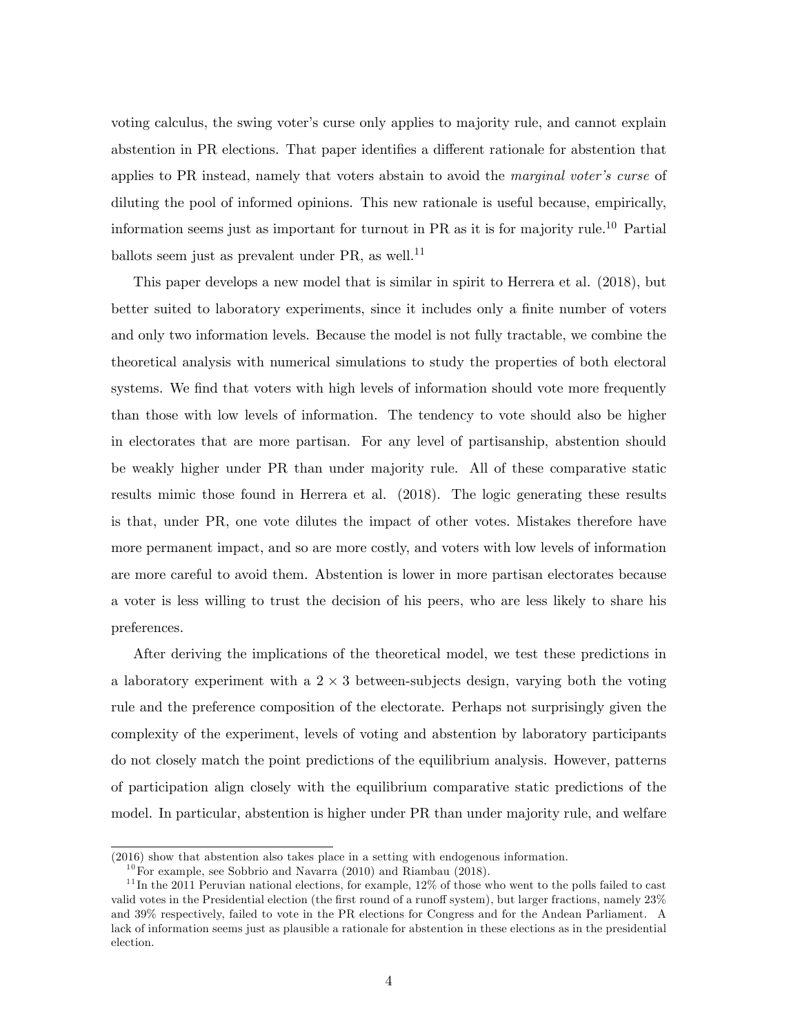voting calculus, the swing voter's curse only applies to majority rule, and cannot explain abstention in PR elections. That paper identifies a different rationale for abstention that applies to PR instead, namely that voters abstain to avoid the *marginal voter's curse* of diluting the pool of informed opinions. This new rationale is useful because, empirically, information seems just as important for turnout in PR as it is for majority rule.<sup>10</sup> Partial ballots seem just as prevalent under  $PR$ , as well.<sup>11</sup>

This paper develops a new model that is similar in spirit to Herrera et al. (2018), but better suited to laboratory experiments, since it includes only a finite number of voters and only two information levels. Because the model is not fully tractable, we combine the theoretical analysis with numerical simulations to study the properties of both electoral systems. We find that voters with high levels of information should vote more frequently than those with low levels of information. The tendency to vote should also be higher in electorates that are more partisan. For any level of partisanship, abstention should be weakly higher under PR than under majority rule. All of these comparative static results mimic those found in Herrera et al. (2018). The logic generating these results is that, under PR, one vote dilutes the impact of other votes. Mistakes therefore have more permanent impact, and so are more costly, and voters with low levels of information are more careful to avoid them. Abstention is lower in more partisan electorates because a voter is less willing to trust the decision of his peers, who are less likely to share his preferences.

After deriving the implications of the theoretical model, we test these predictions in a laboratory experiment with a  $2 \times 3$  between-subjects design, varying both the voting rule and the preference composition of the electorate. Perhaps not surprisingly given the complexity of the experiment, levels of voting and abstention by laboratory participants do not closely match the point predictions of the equilibrium analysis. However, patterns of participation align closely with the equilibrium comparative static predictions of the model. In particular, abstention is higher under PR than under majority rule, and welfare

<sup>(2016)</sup> show that abstention also takes place in a setting with endogenous information.

 $10$  For example, see Sobbrio and Navarra (2010) and Riambau (2018).

 $11$ In the 2011 Peruvian national elections, for example, 12% of those who went to the polls failed to cast valid votes in the Presidential election (the first round of a runoff system), but larger fractions, namely  $23\%$ and 39% respectively, failed to vote in the PR elections for Congress and for the Andean Parliament. A lack of information seems just as plausible a rationale for abstention in these elections as in the presidential election.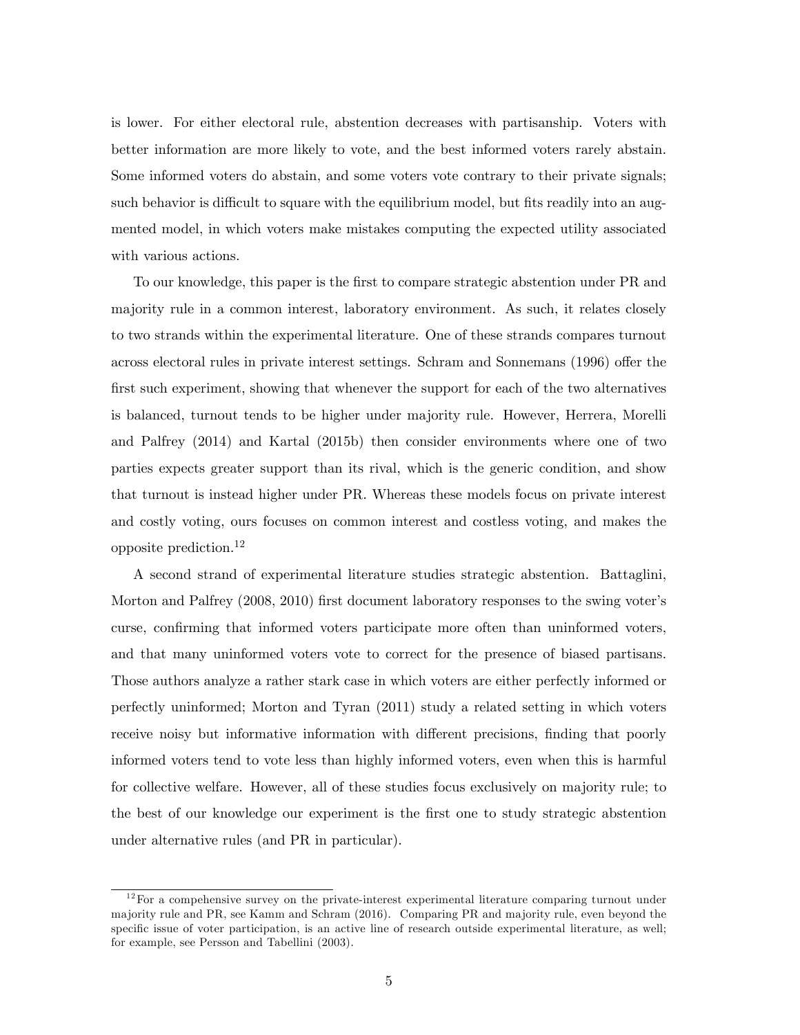is lower. For either electoral rule, abstention decreases with partisanship. Voters with better information are more likely to vote, and the best informed voters rarely abstain. Some informed voters do abstain, and some voters vote contrary to their private signals; such behavior is difficult to square with the equilibrium model, but fits readily into an augmented model, in which voters make mistakes computing the expected utility associated with various actions.

To our knowledge, this paper is the first to compare strategic abstention under PR and majority rule in a common interest, laboratory environment. As such, it relates closely to two strands within the experimental literature. One of these strands compares turnout across electoral rules in private interest settings. Schram and Sonnemans (1996) offer the first such experiment, showing that whenever the support for each of the two alternatives is balanced, turnout tends to be higher under majority rule. However, Herrera, Morelli and Palfrey (2014) and Kartal (2015b) then consider environments where one of two parties expects greater support than its rival, which is the generic condition, and show that turnout is instead higher under PR. Whereas these models focus on private interest and costly voting, ours focuses on common interest and costless voting, and makes the opposite prediction.<sup>12</sup>

A second strand of experimental literature studies strategic abstention. Battaglini, Morton and Palfrey (2008, 2010) first document laboratory responses to the swing voter's curse, confirming that informed voters participate more often than uninformed voters, and that many uninformed voters vote to correct for the presence of biased partisans. Those authors analyze a rather stark case in which voters are either perfectly informed or perfectly uninformed; Morton and Tyran (2011) study a related setting in which voters receive noisy but informative information with different precisions, finding that poorly informed voters tend to vote less than highly informed voters, even when this is harmful for collective welfare. However, all of these studies focus exclusively on majority rule; to the best of our knowledge our experiment is the first one to study strategic abstention under alternative rules (and PR in particular).

 $12$  For a compehensive survey on the private-interest experimental literature comparing turnout under majority rule and PR, see Kamm and Schram (2016). Comparing PR and majority rule, even beyond the specific issue of voter participation, is an active line of research outside experimental literature, as well; for example, see Persson and Tabellini (2003).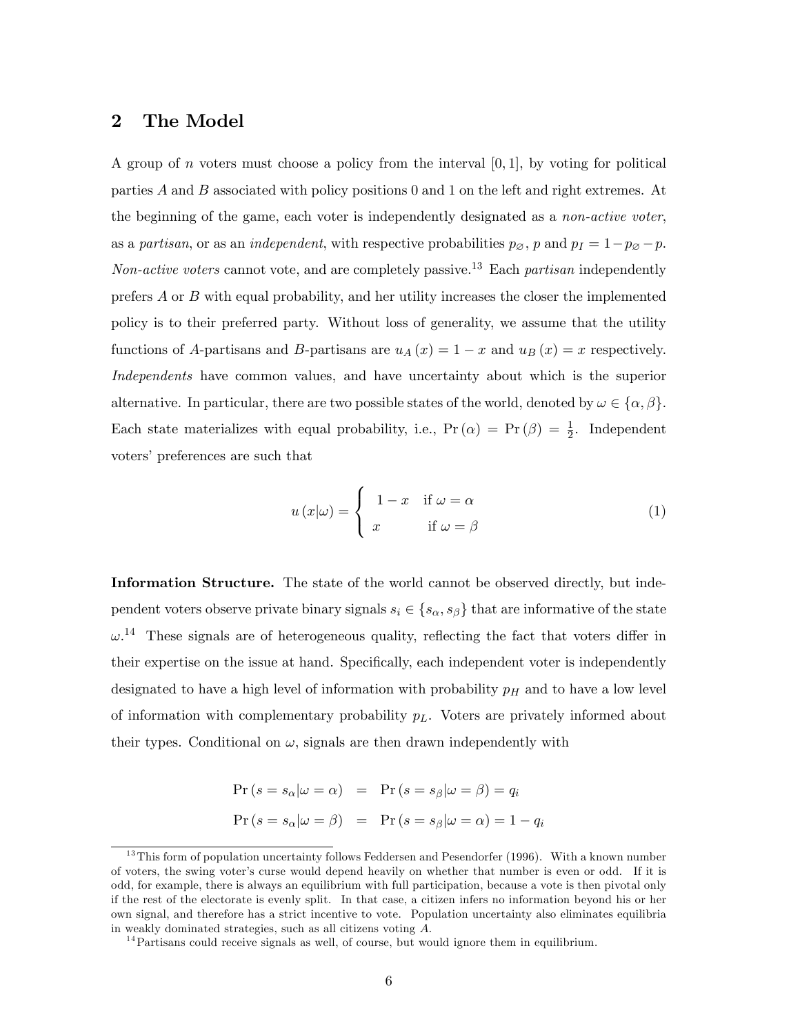#### 2 The Model

A group of *n* voters must choose a policy from the interval  $[0, 1]$ , by voting for political parties A and B associated with policy positions 0 and 1 on the left and right extremes. At the beginning of the game, each voter is independently designated as a non-active voter, as a partisan, or as an independent, with respective probabilities  $p_{\emptyset}$ , p and  $p_I = 1-p_{\emptyset} - p$ . Non-active voters cannot vote, and are completely passive.<sup>13</sup> Each partisan independently prefers  $A$  or  $B$  with equal probability, and her utility increases the closer the implemented policy is to their preferred party. Without loss of generality, we assume that the utility functions of A-partisans and B-partisans are  $u_A(x) = 1 - x$  and  $u_B(x) = x$  respectively. Independents have common values, and have uncertainty about which is the superior alternative. In particular, there are two possible states of the world, denoted by  $\omega \in {\alpha, \beta}$ . Each state materializes with equal probability, i.e.,  $Pr(\alpha) = Pr(\beta) = \frac{1}{2}$ . Independent voters' preferences are such that

$$
u(x|\omega) = \begin{cases} 1 - x & \text{if } \omega = \alpha \\ x & \text{if } \omega = \beta \end{cases}
$$
 (1)

Information Structure. The state of the world cannot be observed directly, but independent voters observe private binary signals  $s_i \in \{s_\alpha, s_\beta\}$  that are informative of the state  $\omega$ <sup>14</sup>. These signals are of heterogeneous quality, reflecting the fact that voters differ in their expertise on the issue at hand. Specifically, each independent voter is independently designated to have a high level of information with probability  $p<sub>H</sub>$  and to have a low level of information with complementary probability  $p<sub>L</sub>$ . Voters are privately informed about their types. Conditional on  $\omega$ , signals are then drawn independently with

$$
\Pr (s = s_{\alpha} | \omega = \alpha) = \Pr (s = s_{\beta} | \omega = \beta) = q_{i}
$$

$$
\Pr (s = s_{\alpha} | \omega = \beta) = \Pr (s = s_{\beta} | \omega = \alpha) = 1 - q_{i}
$$

 $13$ This form of population uncertainty follows Feddersen and Pesendorfer (1996). With a known number of voters, the swing voterís curse would depend heavily on whether that number is even or odd. If it is odd, for example, there is always an equilibrium with full participation, because a vote is then pivotal only if the rest of the electorate is evenly split. In that case, a citizen infers no information beyond his or her own signal, and therefore has a strict incentive to vote. Population uncertainty also eliminates equilibria in weakly dominated strategies, such as all citizens voting A.

<sup>&</sup>lt;sup>14</sup>Partisans could receive signals as well, of course, but would ignore them in equilibrium.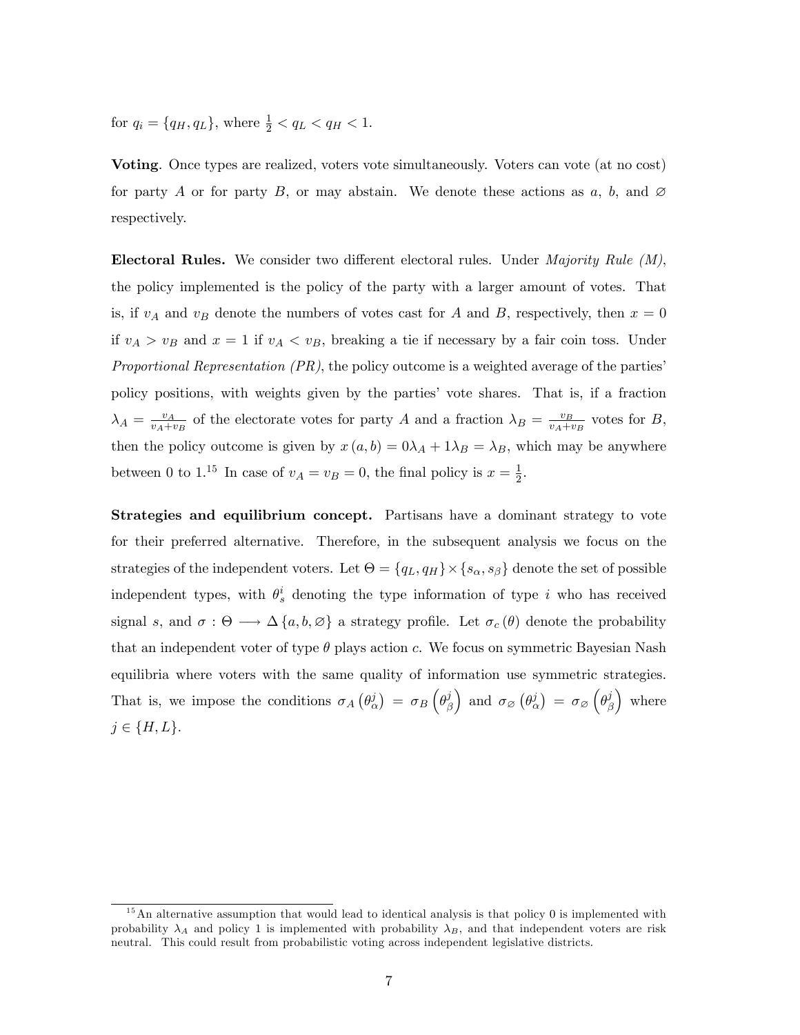for  $q_i = \{q_H, q_L\}$ , where  $\frac{1}{2} < q_L < q_H < 1$ .

Voting. Once types are realized, voters vote simultaneously. Voters can vote (at no cost) for party A or for party B, or may abstain. We denote these actions as a, b, and  $\varnothing$ respectively.

**Electoral Rules.** We consider two different electoral rules. Under *Majority Rule (M)*, the policy implemented is the policy of the party with a larger amount of votes. That is, if  $v_A$  and  $v_B$  denote the numbers of votes cast for A and B, respectively, then  $x = 0$ if  $v_A > v_B$  and  $x = 1$  if  $v_A < v_B$ , breaking a tie if necessary by a fair coin toss. Under *Proportional Representation*  $(PR)$ *,* the policy outcome is a weighted average of the parties<sup>*'*</sup> policy positions, with weights given by the partiesí vote shares. That is, if a fraction  $\lambda_A = \frac{v_A}{v_A + i}$  $\frac{v_A}{v_A+v_B}$  of the electorate votes for party A and a fraction  $\lambda_B = \frac{v_B}{v_A+v_B}$  $\frac{v_B}{v_A + v_B}$  votes for B, then the policy outcome is given by  $x(a, b) = 0\lambda_A + 1\lambda_B = \lambda_B$ , which may be anywhere between 0 to 1.<sup>15</sup> In case of  $v_A = v_B = 0$ , the final policy is  $x = \frac{1}{2}$  $\frac{1}{2}$ .

Strategies and equilibrium concept. Partisans have a dominant strategy to vote for their preferred alternative. Therefore, in the subsequent analysis we focus on the strategies of the independent voters. Let  $\Theta = \{q_L, q_H\} \times \{s_\alpha, s_\beta\}$  denote the set of possible independent types, with  $\theta_s^i$  denoting the type information of type i who has received signal s, and  $\sigma : \Theta \longrightarrow \Delta \{a, b, \emptyset\}$  a strategy profile. Let  $\sigma_c(\theta)$  denote the probability that an independent voter of type  $\theta$  plays action c. We focus on symmetric Bayesian Nash equilibria where voters with the same quality of information use symmetric strategies. That is, we impose the conditions  $\sigma_A(\theta_\alpha^j) = \sigma_B(\theta_\beta^j)$ β ) and  $\sigma_{\varnothing}(\theta^j_\alpha) = \sigma_{\varnothing}(\theta^j_\beta)$ β ) where  $j \in \{H, L\}.$ 

 $15$ An alternative assumption that would lead to identical analysis is that policy 0 is implemented with probability  $\lambda_A$  and policy 1 is implemented with probability  $\lambda_B$ , and that independent voters are risk neutral. This could result from probabilistic voting across independent legislative districts.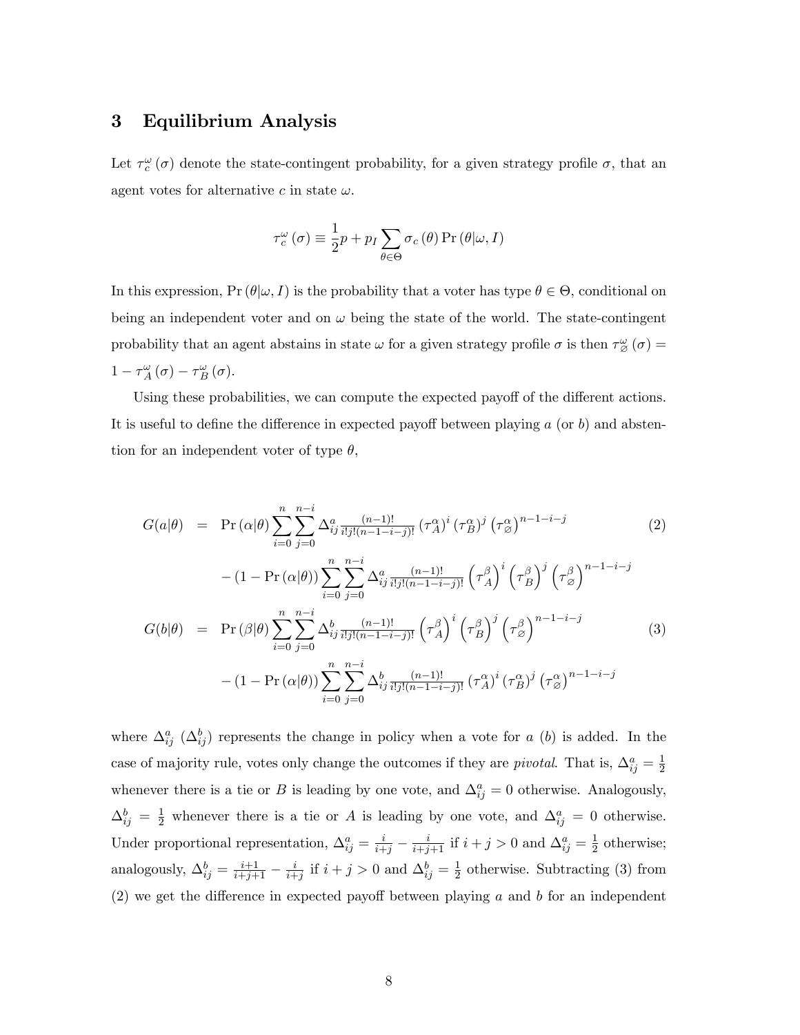## 3 Equilibrium Analysis

Let  $\tau_c^{\omega}(\sigma)$  denote the state-contingent probability, for a given strategy profile  $\sigma$ , that an agent votes for alternative c in state  $\omega$ .

$$
\tau_c^{\omega}(\sigma) \equiv \frac{1}{2}p + p_I \sum_{\theta \in \Theta} \sigma_c(\theta) \Pr(\theta | \omega, I)
$$

In this expression,  $Pr(\theta | \omega, I)$  is the probability that a voter has type  $\theta \in \Theta$ , conditional on being an independent voter and on  $\omega$  being the state of the world. The state-contingent probability that an agent abstains in state  $\omega$  for a given strategy profile  $\sigma$  is then  $\tau_{\varnothing}^{\omega}(\sigma)$  =  $1 - \tau_A^{\omega}(\sigma) - \tau_B^{\omega}(\sigma).$ 

Using these probabilities, we can compute the expected payoff of the different actions. It is useful to define the difference in expected payoff between playing  $a$  (or b) and abstention for an independent voter of type  $\theta$ ,

$$
G(a|\theta) = \Pr(\alpha|\theta) \sum_{i=0}^{n} \sum_{j=0}^{n-i} \Delta_{ij}^{a} \frac{(n-1)!}{i!j!(n-1-i-j)!} \left(\tau_A^{\alpha}\right)^i \left(\tau_B^{\alpha}\right)^{j} \left(\tau_{\varnothing}^{\alpha}\right)^{n-1-i-j}
$$
(2)  

$$
- (1 - \Pr(\alpha|\theta)) \sum_{i=0}^{n} \sum_{j=0}^{n-i} \Delta_{ij}^{a} \frac{(n-1)!}{i!j!(n-1-i-j)!} \left(\tau_A^{\beta}\right)^i \left(\tau_B^{\beta}\right)^j \left(\tau_{\varnothing}^{\beta}\right)^{n-1-i-j}
$$
  

$$
G(b|\theta) = \Pr(\beta|\theta) \sum_{i=0}^{n} \sum_{j=0}^{n-i} \Delta_{ij}^{b} \frac{(n-1)!}{i!j!(n-1-i-j)!} \left(\tau_A^{\beta}\right)^i \left(\tau_B^{\beta}\right)^j \left(\tau_{\varnothing}^{\beta}\right)^{n-1-i-j}
$$
(3)  

$$
- (1 - \Pr(\alpha|\theta)) \sum_{i=0}^{n} \sum_{j=0}^{n-i} \Delta_{ij}^{b} \frac{(n-1)!}{i!j!(n-1-i-j)!} \left(\tau_A^{\alpha}\right)^i \left(\tau_B^{\alpha}\right)^j \left(\tau_{\varnothing}^{\alpha}\right)^{n-1-i-j}
$$

where  $\Delta_{ij}^a$   $(\Delta_{ij}^b)$  represents the change in policy when a vote for a (b) is added. In the case of majority rule, votes only change the outcomes if they are *pivotal*. That is,  $\Delta_{ij}^a = \frac{1}{2}$ 2 whenever there is a tie or B is leading by one vote, and  $\Delta_{ij}^a = 0$  otherwise. Analogously,  $\Delta_{ij}^b = \frac{1}{2}$  whenever there is a tie or A is leading by one vote, and  $\Delta_{ij}^a = 0$  otherwise. Under proportional representation,  $\Delta_{ij}^a = \frac{i}{i+j} - \frac{i}{i+j+1}$  if  $i+j>0$  and  $\Delta_{ij}^a = \frac{1}{2}$  $\frac{1}{2}$  otherwise; analogously,  $\Delta_{ij}^b = \frac{i+1}{i+j+1} - \frac{i}{i+1}$  $\frac{i}{i+j}$  if  $i+j>0$  and  $\Delta_{ij}^b = \frac{1}{2}$  $\frac{1}{2}$  otherwise. Subtracting (3) from  $(2)$  we get the difference in expected payoff between playing a and b for an independent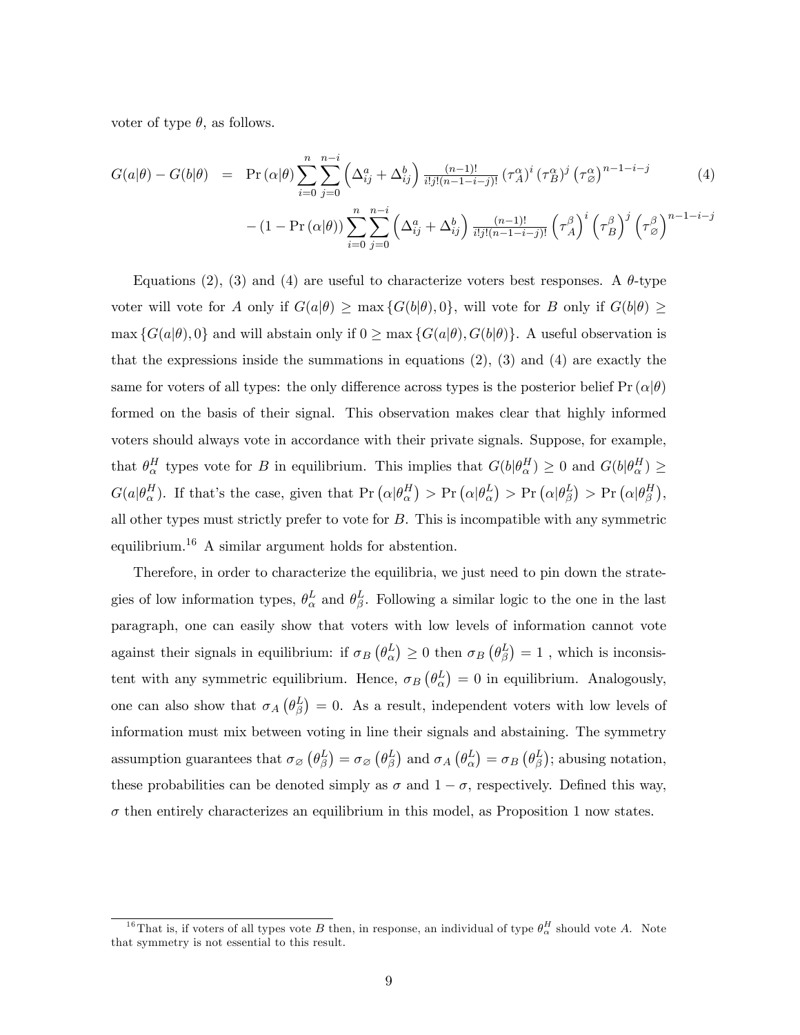voter of type  $\theta$ , as follows.

$$
G(a|\theta) - G(b|\theta) = \Pr(\alpha|\theta) \sum_{i=0}^{n} \sum_{j=0}^{n-i} \left(\Delta_{ij}^a + \Delta_{ij}^b\right) \frac{(n-1)!}{i!j!(n-1-i-j)!} \left(\tau_A^{\alpha}\right)^i \left(\tau_B^{\alpha}\right)^j \left(\tau_{\beta}^{\alpha}\right)^{n-1-i-j} \tag{4}
$$

$$
- (1 - \Pr(\alpha|\theta)) \sum_{i=0}^{n} \sum_{j=0}^{n-i} \left( \Delta_{ij}^a + \Delta_{ij}^b \right) \frac{(n-1)!}{i!j!(n-1-i-j)!} \left( \tau_A^{\beta} \right)^i \left( \tau_B^{\beta} \right)^j \left( \tau_{\varnothing}^{\beta} \right)^{n-1-i-j}
$$

Equations (2), (3) and (4) are useful to characterize voters best responses. A  $\theta$ -type voter will vote for A only if  $G(a|\theta) \ge \max\{G(b|\theta), 0\}$ , will vote for B only if  $G(b|\theta) \ge$  $\max \{G(a|\theta), 0\}$  and will abstain only if  $0 \ge \max \{G(a|\theta), G(b|\theta)\}\)$ . A useful observation is that the expressions inside the summations in equations  $(2)$ ,  $(3)$  and  $(4)$  are exactly the same for voters of all types: the only difference across types is the posterior belief Pr  $(\alpha|\theta)$ formed on the basis of their signal. This observation makes clear that highly informed voters should always vote in accordance with their private signals. Suppose, for example, that  $\theta_{\alpha}^H$  types vote for B in equilibrium. This implies that  $G(b|\theta_{\alpha}^H) \ge 0$  and  $G(b|\theta_{\alpha}^H) \ge$  $G(a|\theta_{\alpha}^{H})$ . If that's the case, given that  $\Pr(\alpha|\theta_{\alpha}^{H}) > \Pr(\alpha|\theta_{\alpha}^{L}) > \Pr(\alpha|\theta_{\beta}^{L}) > \Pr(\alpha|\theta_{\beta}^{H})$ , all other types must strictly prefer to vote for B. This is incompatible with any symmetric equilibrium.<sup>16</sup> A similar argument holds for abstention.

Therefore, in order to characterize the equilibria, we just need to pin down the strategies of low information types,  $\theta_{\alpha}^{L}$  and  $\theta_{\beta}^{L}$ . Following a similar logic to the one in the last paragraph, one can easily show that voters with low levels of information cannot vote against their signals in equilibrium: if  $\sigma_B(\theta_\alpha^L) \ge 0$  then  $\sigma_B(\theta_\beta^L) = 1$ , which is inconsistent with any symmetric equilibrium. Hence,  $\sigma_B(\theta_\alpha^L) = 0$  in equilibrium. Analogously, one can also show that  $\sigma_A(\theta_\beta^L)=0$ . As a result, independent voters with low levels of information must mix between voting in line their signals and abstaining. The symmetry assumption guarantees that  $\sigma_{\varnothing}(\theta_{\beta}^L) = \sigma_{\varnothing}(\theta_{\beta}^L)$  and  $\sigma_A(\theta_{\alpha}^L) = \sigma_B(\theta_{\beta}^L)$ ; abusing notation, these probabilities can be denoted simply as  $\sigma$  and  $1 - \sigma$ , respectively. Defined this way,  $\sigma$  then entirely characterizes an equilibrium in this model, as Proposition 1 now states.

<sup>&</sup>lt;sup>16</sup>That is, if voters of all types vote B then, in response, an individual of type  $\theta_{\alpha}^H$  should vote A. Note that symmetry is not essential to this result.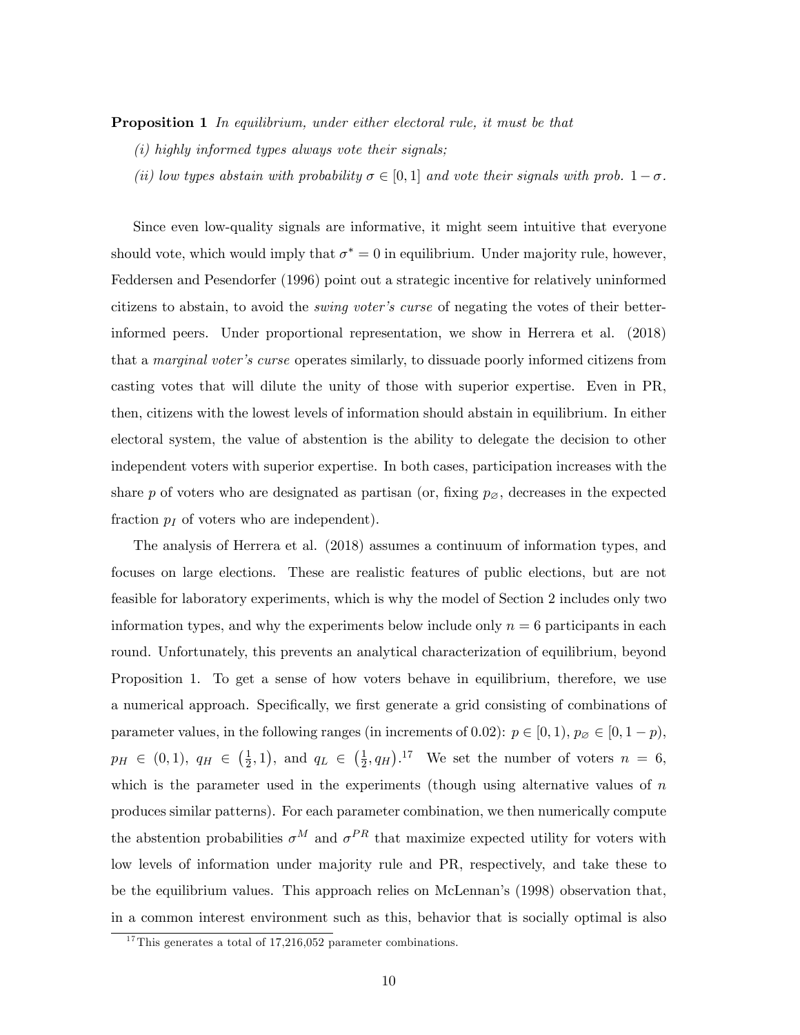**Proposition 1** In equilibrium, under either electoral rule, it must be that

- $(i)$  highly informed types always vote their signals;
- (ii) low types abstain with probability  $\sigma \in [0, 1]$  and vote their signals with prob.  $1 \sigma$ .

Since even low-quality signals are informative, it might seem intuitive that everyone should vote, which would imply that  $\sigma^* = 0$  in equilibrium. Under majority rule, however, Feddersen and Pesendorfer (1996) point out a strategic incentive for relatively uninformed citizens to abstain, to avoid the *swing voter's curse* of negating the votes of their betterinformed peers. Under proportional representation, we show in Herrera et al. (2018) that a *marginal voter's curse* operates similarly, to dissuade poorly informed citizens from casting votes that will dilute the unity of those with superior expertise. Even in PR, then, citizens with the lowest levels of information should abstain in equilibrium. In either electoral system, the value of abstention is the ability to delegate the decision to other independent voters with superior expertise. In both cases, participation increases with the share p of voters who are designated as partisan (or, fixing  $p_{\emptyset}$ , decreases in the expected fraction  $p_I$  of voters who are independent).

The analysis of Herrera et al. (2018) assumes a continuum of information types, and focuses on large elections. These are realistic features of public elections, but are not feasible for laboratory experiments, which is why the model of Section 2 includes only two information types, and why the experiments below include only  $n = 6$  participants in each round. Unfortunately, this prevents an analytical characterization of equilibrium, beyond Proposition 1. To get a sense of how voters behave in equilibrium, therefore, we use a numerical approach. Specifically, we first generate a grid consisting of combinations of parameter values, in the following ranges (in increments of 0.02):  $p \in [0, 1), p_{\emptyset} \in [0, 1-p)$ ,  $p_H \in (0,1), q_H \in \left(\frac{1}{2}\right)$  $(\frac{1}{2}, 1)$ , and  $q_L \in (\frac{1}{2})$  $\frac{1}{2}$ , q<sub>H</sub>).<sup>17</sup> We set the number of voters  $n = 6$ , which is the parameter used in the experiments (though using alternative values of  $n$ produces similar patterns). For each parameter combination, we then numerically compute the abstention probabilities  $\sigma^M$  and  $\sigma^{PR}$  that maximize expected utility for voters with low levels of information under majority rule and PR, respectively, and take these to be the equilibrium values. This approach relies on McLennan's (1998) observation that, in a common interest environment such as this, behavior that is socially optimal is also

 $17$ This generates a total of 17,216,052 parameter combinations.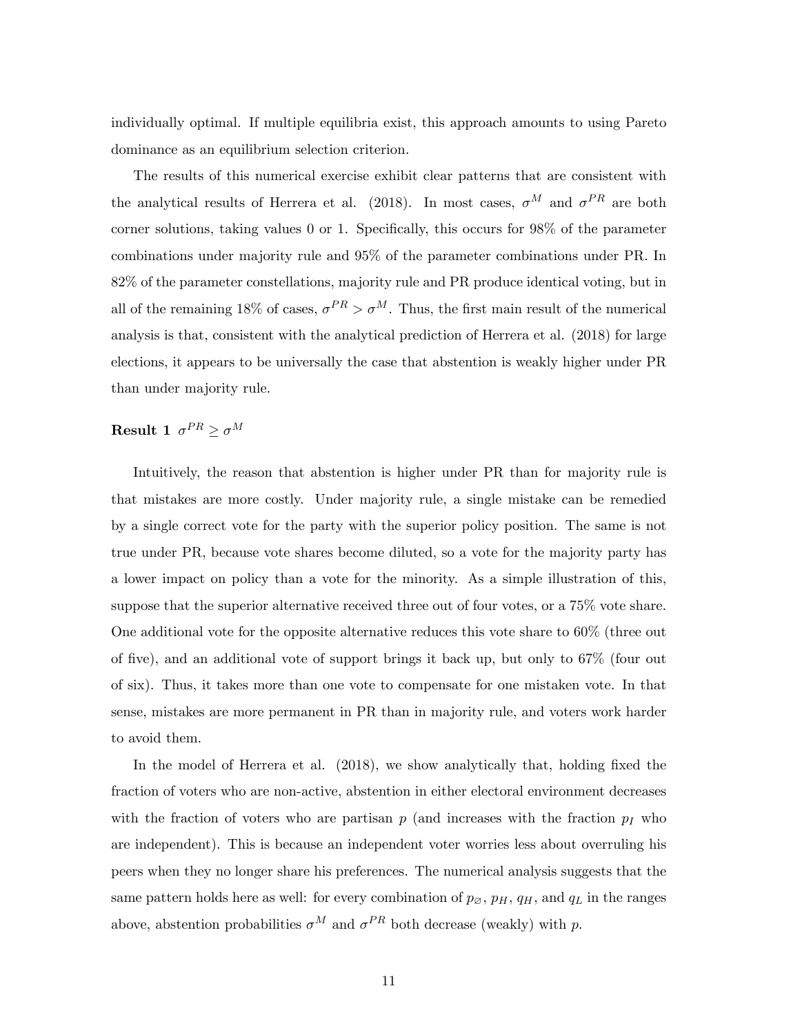individually optimal. If multiple equilibria exist, this approach amounts to using Pareto dominance as an equilibrium selection criterion.

The results of this numerical exercise exhibit clear patterns that are consistent with the analytical results of Herrera et al. (2018). In most cases,  $\sigma^M$  and  $\sigma^{PR}$  are both corner solutions, taking values  $0$  or  $1$ . Specifically, this occurs for  $98\%$  of the parameter combinations under majority rule and 95% of the parameter combinations under PR. In 82% of the parameter constellations, majority rule and PR produce identical voting, but in all of the remaining 18% of cases,  $\sigma^{PR} > \sigma^{M}$ . Thus, the first main result of the numerical analysis is that, consistent with the analytical prediction of Herrera et al. (2018) for large elections, it appears to be universally the case that abstention is weakly higher under PR than under majority rule.

# **Result 1**  $\sigma^{PR} \geq \sigma^M$

Intuitively, the reason that abstention is higher under PR than for majority rule is that mistakes are more costly. Under majority rule, a single mistake can be remedied by a single correct vote for the party with the superior policy position. The same is not true under PR, because vote shares become diluted, so a vote for the majority party has a lower impact on policy than a vote for the minority. As a simple illustration of this, suppose that the superior alternative received three out of four votes, or a 75% vote share. One additional vote for the opposite alternative reduces this vote share to 60% (three out of five), and an additional vote of support brings it back up, but only to  $67\%$  (four out of six). Thus, it takes more than one vote to compensate for one mistaken vote. In that sense, mistakes are more permanent in PR than in majority rule, and voters work harder to avoid them.

In the model of Herrera et al.  $(2018)$ , we show analytically that, holding fixed the fraction of voters who are non-active, abstention in either electoral environment decreases with the fraction of voters who are partisan  $p$  (and increases with the fraction  $p_I$  who are independent). This is because an independent voter worries less about overruling his peers when they no longer share his preferences. The numerical analysis suggests that the same pattern holds here as well: for every combination of  $p_{\emptyset}$ ,  $p_H$ ,  $q_H$ , and  $q_L$  in the ranges above, abstention probabilities  $\sigma^M$  and  $\sigma^{PR}$  both decrease (weakly) with p.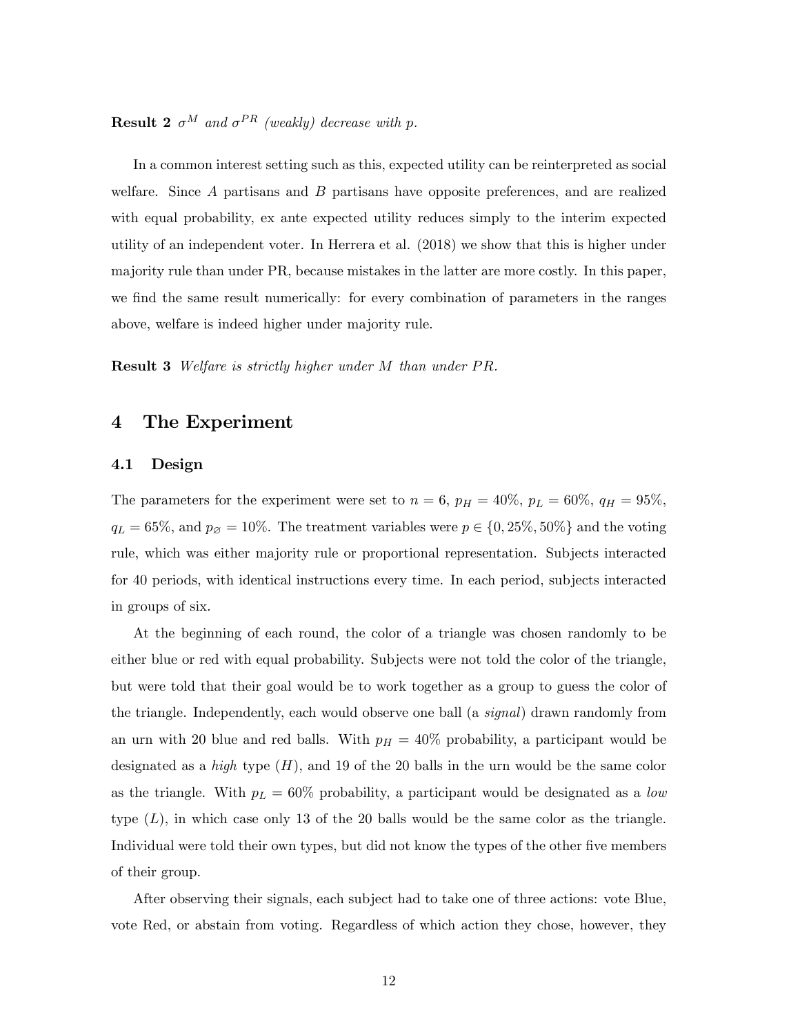**Result 2**  $\sigma^M$  and  $\sigma^{PR}$  (weakly) decrease with p.

In a common interest setting such as this, expected utility can be reinterpreted as social welfare. Since A partisans and B partisans have opposite preferences, and are realized with equal probability, ex ante expected utility reduces simply to the interim expected utility of an independent voter. In Herrera et al. (2018) we show that this is higher under majority rule than under PR, because mistakes in the latter are more costly. In this paper, we find the same result numerically: for every combination of parameters in the ranges above, welfare is indeed higher under majority rule.

**Result 3** Welfare is strictly higher under M than under PR.

#### 4 The Experiment

#### 4.1 Design

The parameters for the experiment were set to  $n = 6$ ,  $p_H = 40\%$ ,  $p_L = 60\%$ ,  $q_H = 95\%$ ,  $q_L = 65\%$ , and  $p_{\emptyset} = 10\%$ . The treatment variables were  $p \in \{0, 25\%, 50\%\}$  and the voting rule, which was either majority rule or proportional representation. Subjects interacted for 40 periods, with identical instructions every time. In each period, subjects interacted in groups of six.

At the beginning of each round, the color of a triangle was chosen randomly to be either blue or red with equal probability. Subjects were not told the color of the triangle, but were told that their goal would be to work together as a group to guess the color of the triangle. Independently, each would observe one ball (a *signal*) drawn randomly from an urn with 20 blue and red balls. With  $p_H = 40\%$  probability, a participant would be designated as a *high* type  $(H)$ , and 19 of the 20 balls in the urn would be the same color as the triangle. With  $p_L = 60\%$  probability, a participant would be designated as a low type  $(L)$ , in which case only 13 of the 20 balls would be the same color as the triangle. Individual were told their own types, but did not know the types of the other five members of their group.

After observing their signals, each subject had to take one of three actions: vote Blue, vote Red, or abstain from voting. Regardless of which action they chose, however, they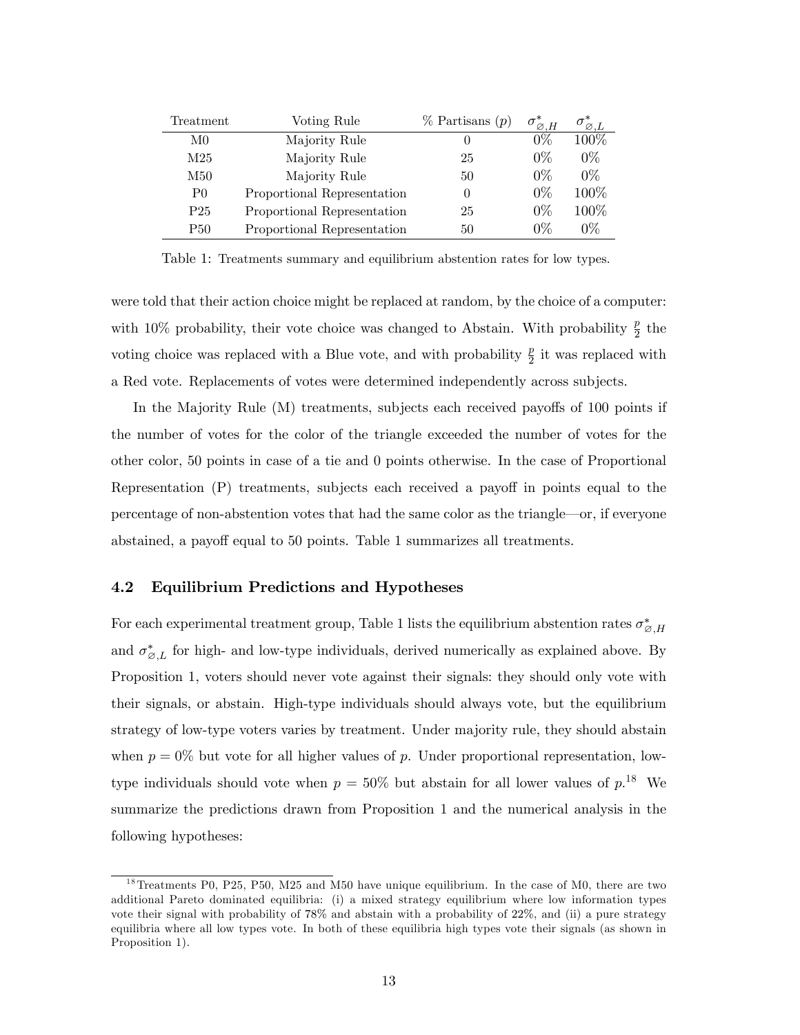| Treatment       | Voting Rule                 | $\%$ Partisans $(p)$ | $\sigma_{\varnothing,H}^*$ | $\sigma_{\boxtimes,L}^*$ |
|-----------------|-----------------------------|----------------------|----------------------------|--------------------------|
| M <sub>0</sub>  | Majority Rule               |                      | 0%                         | 100%                     |
| M <sub>25</sub> | Majority Rule               | 25                   | $0\%$                      | $0\%$                    |
| M50             | Majority Rule               | 50                   | $0\%$                      | $0\%$                    |
| P <sub>0</sub>  | Proportional Representation | $\left( \right)$     | $0\%$                      | 100\%                    |
| P <sub>25</sub> | Proportional Representation | 25                   | $0\%$                      | 100%                     |
| <b>P50</b>      | Proportional Representation | 50                   | 0%                         | 0%                       |

Table 1: Treatments summary and equilibrium abstention rates for low types.

were told that their action choice might be replaced at random, by the choice of a computer: with 10% probability, their vote choice was changed to Abstain. With probability  $\frac{p}{2}$  the voting choice was replaced with a Blue vote, and with probability  $\frac{p}{2}$  it was replaced with a Red vote. Replacements of votes were determined independently across subjects.

In the Majority Rule  $(M)$  treatments, subjects each received payoffs of 100 points if the number of votes for the color of the triangle exceeded the number of votes for the other color, 50 points in case of a tie and 0 points otherwise. In the case of Proportional Representation  $(P)$  treatments, subjects each received a payoff in points equal to the percentage of non-abstention votes that had the same color as the triangle—or, if everyone abstained, a payoff equal to 50 points. Table 1 summarizes all treatments.

#### 4.2 Equilibrium Predictions and Hypotheses

For each experimental treatment group, Table 1 lists the equilibrium abstention rates  $\sigma_{\varnothing,H}^*$ and  $\sigma_{\varnothing,L}^*$  for high- and low-type individuals, derived numerically as explained above. By Proposition 1, voters should never vote against their signals: they should only vote with their signals, or abstain. High-type individuals should always vote, but the equilibrium strategy of low-type voters varies by treatment. Under majority rule, they should abstain when  $p = 0\%$  but vote for all higher values of p. Under proportional representation, lowtype individuals should vote when  $p = 50\%$  but abstain for all lower values of  $p^{18}$ . We summarize the predictions drawn from Proposition 1 and the numerical analysis in the following hypotheses:

<sup>&</sup>lt;sup>18</sup>Treatments P0, P25, P50, M25 and M50 have unique equilibrium. In the case of M0, there are two additional Pareto dominated equilibria: (i) a mixed strategy equilibrium where low information types vote their signal with probability of 78% and abstain with a probability of 22%, and (ii) a pure strategy equilibria where all low types vote. In both of these equilibria high types vote their signals (as shown in Proposition 1).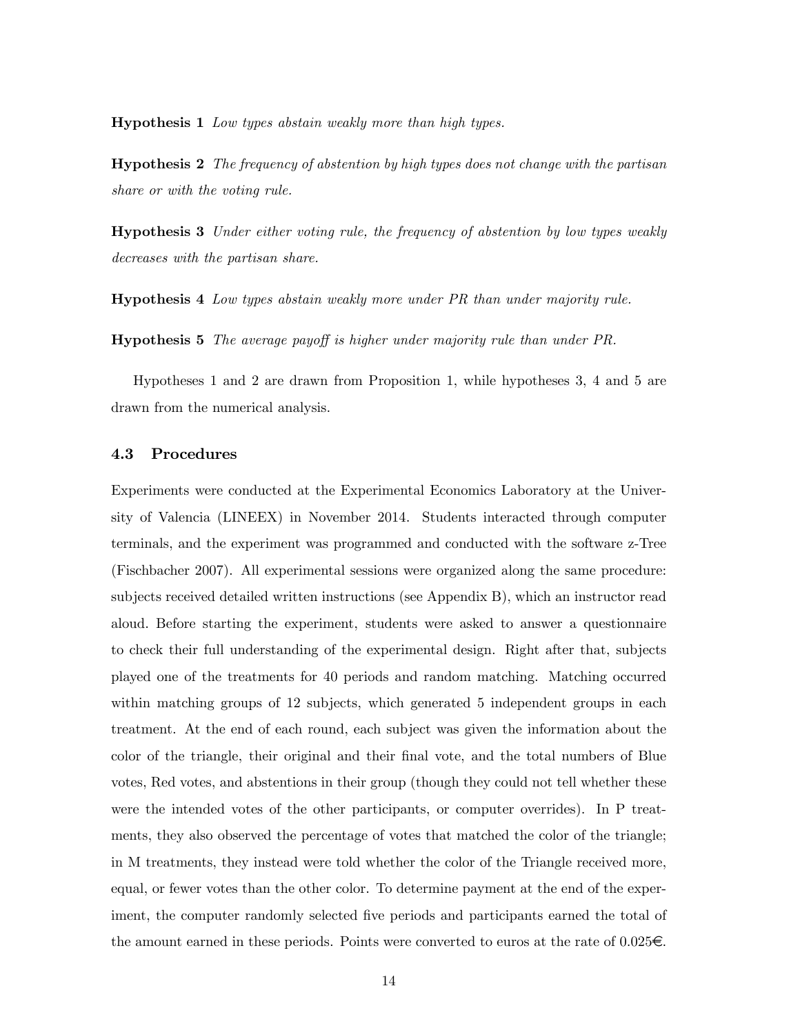Hypothesis 1 Low types abstain weakly more than high types.

Hypothesis 2 The frequency of abstention by high types does not change with the partisan share or with the voting rule.

Hypothesis 3 Under either voting rule, the frequency of abstention by low types weakly decreases with the partisan share.

Hypothesis 4 Low types abstain weakly more under PR than under majority rule.

**Hypothesis 5** The average payoff is higher under majority rule than under PR.

Hypotheses 1 and 2 are drawn from Proposition 1, while hypotheses 3, 4 and 5 are drawn from the numerical analysis.

#### 4.3 Procedures

Experiments were conducted at the Experimental Economics Laboratory at the University of Valencia (LINEEX) in November 2014. Students interacted through computer terminals, and the experiment was programmed and conducted with the software z-Tree (Fischbacher 2007). All experimental sessions were organized along the same procedure: subjects received detailed written instructions (see Appendix B), which an instructor read aloud. Before starting the experiment, students were asked to answer a questionnaire to check their full understanding of the experimental design. Right after that, subjects played one of the treatments for 40 periods and random matching. Matching occurred within matching groups of 12 subjects, which generated 5 independent groups in each treatment. At the end of each round, each subject was given the information about the color of the triangle, their original and their Önal vote, and the total numbers of Blue votes, Red votes, and abstentions in their group (though they could not tell whether these were the intended votes of the other participants, or computer overrides). In P treatments, they also observed the percentage of votes that matched the color of the triangle; in M treatments, they instead were told whether the color of the Triangle received more, equal, or fewer votes than the other color. To determine payment at the end of the experiment, the computer randomly selected five periods and participants earned the total of the amount earned in these periods. Points were converted to euros at the rate of  $0.025\epsilon$ .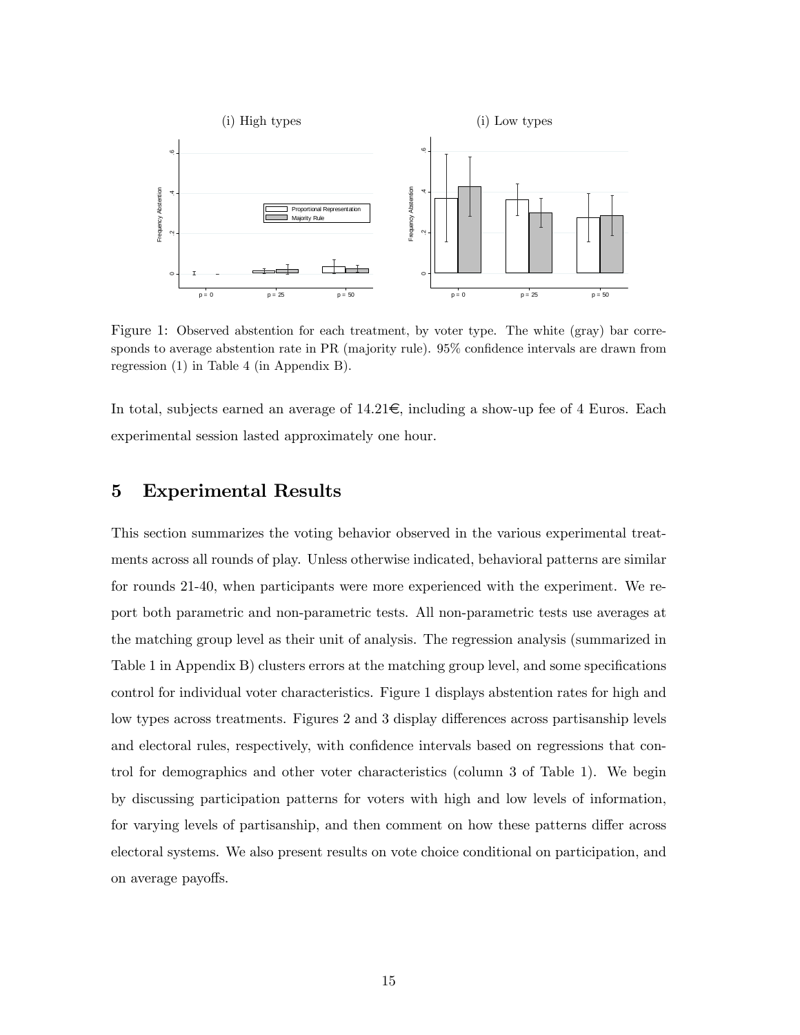

Figure 1: Observed abstention for each treatment, by voter type. The white (gray) bar corresponds to average abstention rate in  $PR$  (majority rule).  $95\%$  confidence intervals are drawn from regression (1) in Table 4 (in Appendix B).

In total, subjects earned an average of  $14.21 \text{E}$ , including a show-up fee of 4 Euros. Each experimental session lasted approximately one hour.

## 5 Experimental Results

This section summarizes the voting behavior observed in the various experimental treatments across all rounds of play. Unless otherwise indicated, behavioral patterns are similar for rounds 21-40, when participants were more experienced with the experiment. We report both parametric and non-parametric tests. All non-parametric tests use averages at the matching group level as their unit of analysis. The regression analysis (summarized in Table 1 in Appendix B) clusters errors at the matching group level, and some specifications control for individual voter characteristics. Figure 1 displays abstention rates for high and low types across treatments. Figures 2 and 3 display differences across partisanship levels and electoral rules, respectively, with confidence intervals based on regressions that control for demographics and other voter characteristics (column 3 of Table 1). We begin by discussing participation patterns for voters with high and low levels of information, for varying levels of partisanship, and then comment on how these patterns differ across electoral systems. We also present results on vote choice conditional on participation, and on average payoffs.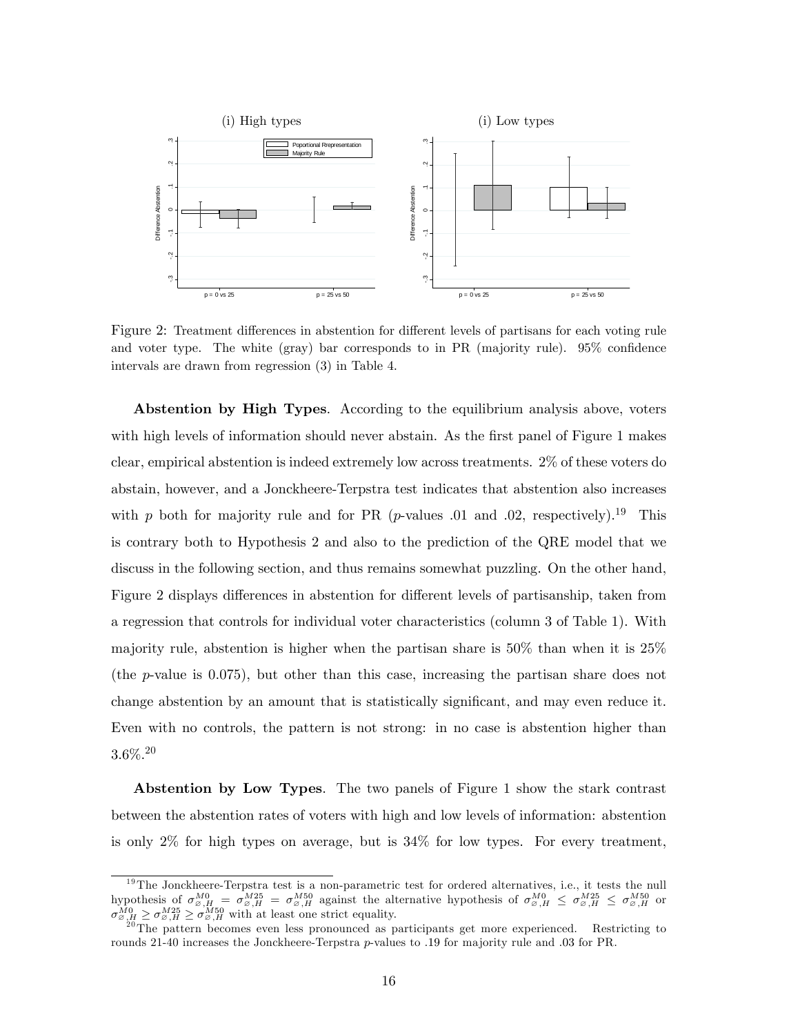

Figure 2: Treatment differences in abstention for different levels of partisans for each voting rule and voter type. The white (gray) bar corresponds to in PR (majority rule).  $95\%$  confidence intervals are drawn from regression (3) in Table 4.

Abstention by High Types. According to the equilibrium analysis above, voters with high levels of information should never abstain. As the first panel of Figure 1 makes clear, empirical abstention is indeed extremely low across treatments. 2% of these voters do abstain, however, and a Jonckheere-Terpstra test indicates that abstention also increases with p both for majority rule and for PR (p-values .01 and .02, respectively).<sup>19</sup> This is contrary both to Hypothesis 2 and also to the prediction of the QRE model that we discuss in the following section, and thus remains somewhat puzzling. On the other hand, Figure 2 displays differences in abstention for different levels of partisanship, taken from a regression that controls for individual voter characteristics (column 3 of Table 1). With majority rule, abstention is higher when the partisan share is  $50\%$  than when it is  $25\%$ (the p-value is 0.075), but other than this case, increasing the partisan share does not change abstention by an amount that is statistically significant, and may even reduce it. Even with no controls, the pattern is not strong: in no case is abstention higher than  $3.6\%^{20}$ 

Abstention by Low Types. The two panels of Figure 1 show the stark contrast between the abstention rates of voters with high and low levels of information: abstention is only 2% for high types on average, but is 34% for low types. For every treatment,

<sup>&</sup>lt;sup>19</sup>The Jonckheere-Terpstra test is a non-parametric test for ordered alternatives, i.e., it tests the null hypothesis of  $\sigma_{\varnothing,H}^{M0} = \sigma_{\varnothing,H}^{M25} = \sigma_{\varnothing,H}^{M50}$  against the alternative hypothesis of  $\sigma_{\varnothing,H}^{M0} \leq \sigma_{\varnothing,H}^{M25} \leq \sigma_{\varnothing,H}^{M50}$  or  $\sigma_{\varnothing,H}^{M0} \geq \sigma_{\varnothing,H}^{M25} \geq \sigma_{\varnothing,H}^{M50}$  with at least one strict equality.

<sup>&</sup>lt;sup>20</sup>The pattern becomes even less pronounced as participants get more experienced. Restricting to rounds 21-40 increases the Jonckheere-Terpstra p-values to .19 for majority rule and .03 for PR.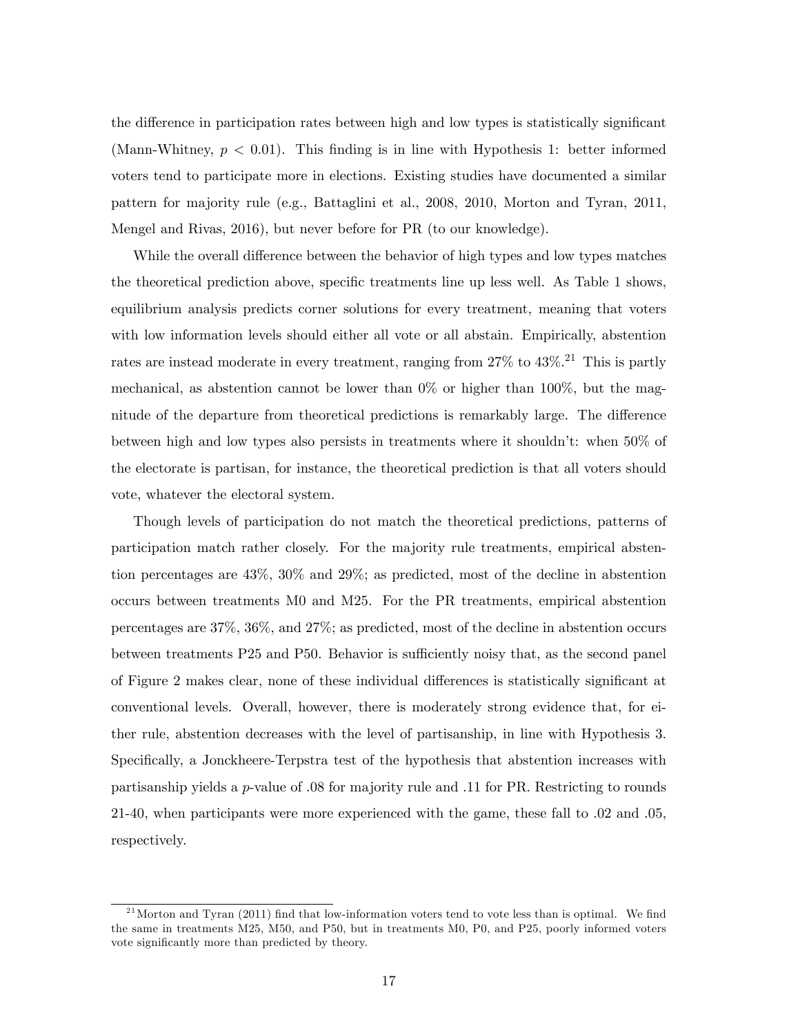the difference in participation rates between high and low types is statistically significant (Mann-Whitney,  $p < 0.01$ ). This finding is in line with Hypothesis 1: better informed voters tend to participate more in elections. Existing studies have documented a similar pattern for majority rule (e.g., Battaglini et al., 2008, 2010, Morton and Tyran, 2011, Mengel and Rivas, 2016), but never before for PR (to our knowledge).

While the overall difference between the behavior of high types and low types matches the theoretical prediction above, specific treatments line up less well. As Table 1 shows, equilibrium analysis predicts corner solutions for every treatment, meaning that voters with low information levels should either all vote or all abstain. Empirically, abstention rates are instead moderate in every treatment, ranging from 27% to 43%.<sup>21</sup> This is partly mechanical, as abstention cannot be lower than  $0\%$  or higher than  $100\%$ , but the magnitude of the departure from theoretical predictions is remarkably large. The difference between high and low types also persists in treatments where it shouldn't: when  $50\%$  of the electorate is partisan, for instance, the theoretical prediction is that all voters should vote, whatever the electoral system.

Though levels of participation do not match the theoretical predictions, patterns of participation match rather closely. For the majority rule treatments, empirical abstention percentages are 43%, 30% and 29%; as predicted, most of the decline in abstention occurs between treatments M0 and M25. For the PR treatments, empirical abstention percentages are 37%, 36%, and 27%; as predicted, most of the decline in abstention occurs between treatments P25 and P50. Behavior is sufficiently noisy that, as the second panel of Figure 2 makes clear, none of these individual differences is statistically significant at conventional levels. Overall, however, there is moderately strong evidence that, for either rule, abstention decreases with the level of partisanship, in line with Hypothesis 3. Specifically, a Jonckheere-Terpstra test of the hypothesis that abstention increases with partisanship yields a p-value of :08 for majority rule and :11 for PR. Restricting to rounds 21-40, when participants were more experienced with the game, these fall to :02 and :05, respectively.

 $^{21}$ Morton and Tyran (2011) find that low-information voters tend to vote less than is optimal. We find the same in treatments M25, M50, and P50, but in treatments M0, P0, and P25, poorly informed voters vote significantly more than predicted by theory.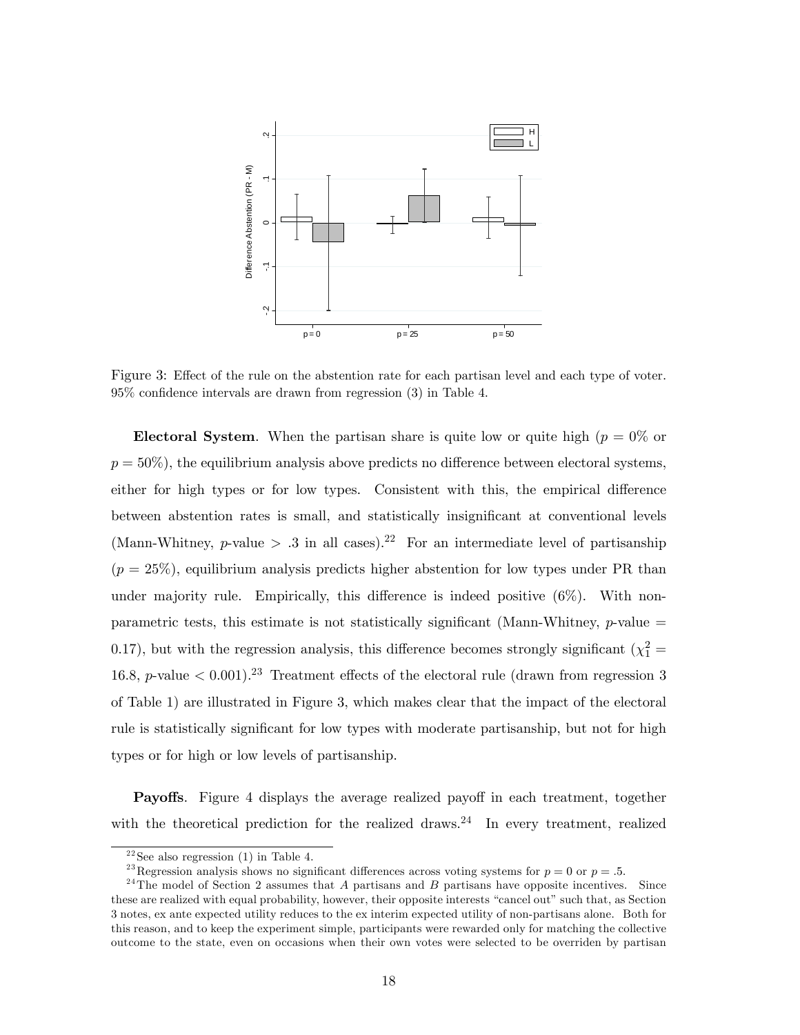

Figure 3: Effect of the rule on the abstention rate for each partisan level and each type of voter.  $95\%$  confidence intervals are drawn from regression  $(3)$  in Table 4.

Electoral System. When the partisan share is quite low or quite high ( $p = 0\%$  or  $p = 50\%)$ , the equilibrium analysis above predicts no difference between electoral systems, either for high types or for low types. Consistent with this, the empirical difference between abstention rates is small, and statistically insignificant at conventional levels (Mann-Whitney, p-value  $> .3$  in all cases).<sup>22</sup> For an intermediate level of partisanship  $(p = 25\%)$ , equilibrium analysis predicts higher abstention for low types under PR than under majority rule. Empirically, this difference is indeed positive  $(6\%)$ . With nonparametric tests, this estimate is not statistically significant (Mann-Whitney,  $p$ -value  $=$ 0.17), but with the regression analysis, this difference becomes strongly significant ( $\chi_1^2$  = 16.8, p-value  $\lt 0.001$ ).<sup>23</sup> Treatment effects of the electoral rule (drawn from regression 3 of Table 1) are illustrated in Figure 3, which makes clear that the impact of the electoral rule is statistically significant for low types with moderate partisanship, but not for high types or for high or low levels of partisanship.

**Payoffs.** Figure 4 displays the average realized payoff in each treatment, together with the theoretical prediction for the realized draws.<sup>24</sup> In every treatment, realized

<sup>&</sup>lt;sup>22</sup>See also regression (1) in Table 4.

<sup>&</sup>lt;sup>23</sup>Regression analysis shows no significant differences across voting systems for  $p = 0$  or  $p = .5$ .

 $24$ The model of Section 2 assumes that A partisans and B partisans have opposite incentives. Since these are realized with equal probability, however, their opposite interests "cancel out" such that, as Section 3 notes, ex ante expected utility reduces to the ex interim expected utility of non-partisans alone. Both for this reason, and to keep the experiment simple, participants were rewarded only for matching the collective outcome to the state, even on occasions when their own votes were selected to be overriden by partisan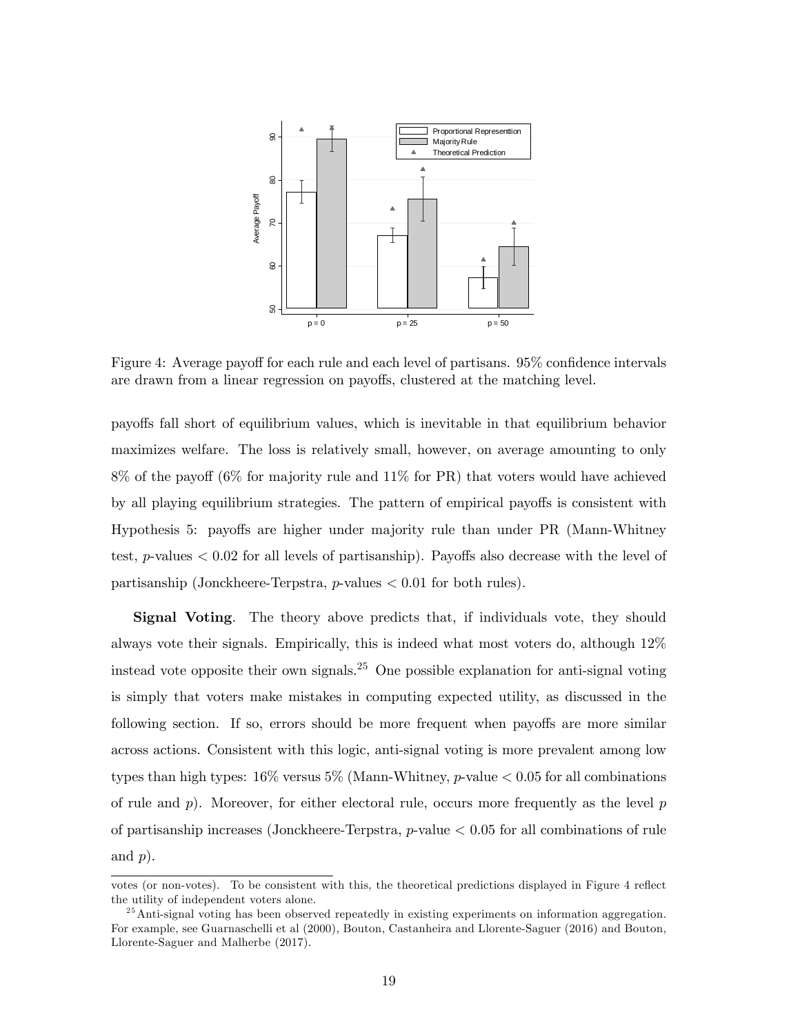

Figure 4: Average payoff for each rule and each level of partisans. 95% confidence intervals are drawn from a linear regression on payoffs, clustered at the matching level.

payo§s fall short of equilibrium values, which is inevitable in that equilibrium behavior maximizes welfare. The loss is relatively small, however, on average amounting to only  $8\%$  of the payoff (6% for majority rule and 11% for PR) that voters would have achieved by all playing equilibrium strategies. The pattern of empirical payoffs is consistent with Hypothesis 5: payoffs are higher under majority rule than under PR (Mann-Whitney test, *p*-values  $\lt 0.02$  for all levels of partisanship). Payoffs also decrease with the level of partisanship (Jonckheere-Terpstra,  $p$ -values  $< 0.01$  for both rules).

Signal Voting. The theory above predicts that, if individuals vote, they should always vote their signals. Empirically, this is indeed what most voters do, although 12% instead vote opposite their own signals.<sup>25</sup> One possible explanation for anti-signal voting is simply that voters make mistakes in computing expected utility, as discussed in the following section. If so, errors should be more frequent when payoffs are more similar across actions. Consistent with this logic, anti-signal voting is more prevalent among low types than high types:  $16\%$  versus  $5\%$  (Mann-Whitney, p-value  $< 0.05$  for all combinations of rule and  $p$ ). Moreover, for either electoral rule, occurs more frequently as the level  $p$ of partisanship increases (Jonckheere-Terpstra,  $p$ -value  $< 0.05$  for all combinations of rule and  $p$ ).

votes (or non-votes). To be consistent with this, the theoretical predictions displayed in Figure 4 reflect the utility of independent voters alone.

 $^{25}$ Anti-signal voting has been observed repeatedly in existing experiments on information aggregation. For example, see Guarnaschelli et al (2000), Bouton, Castanheira and Llorente-Saguer (2016) and Bouton, Llorente-Saguer and Malherbe (2017).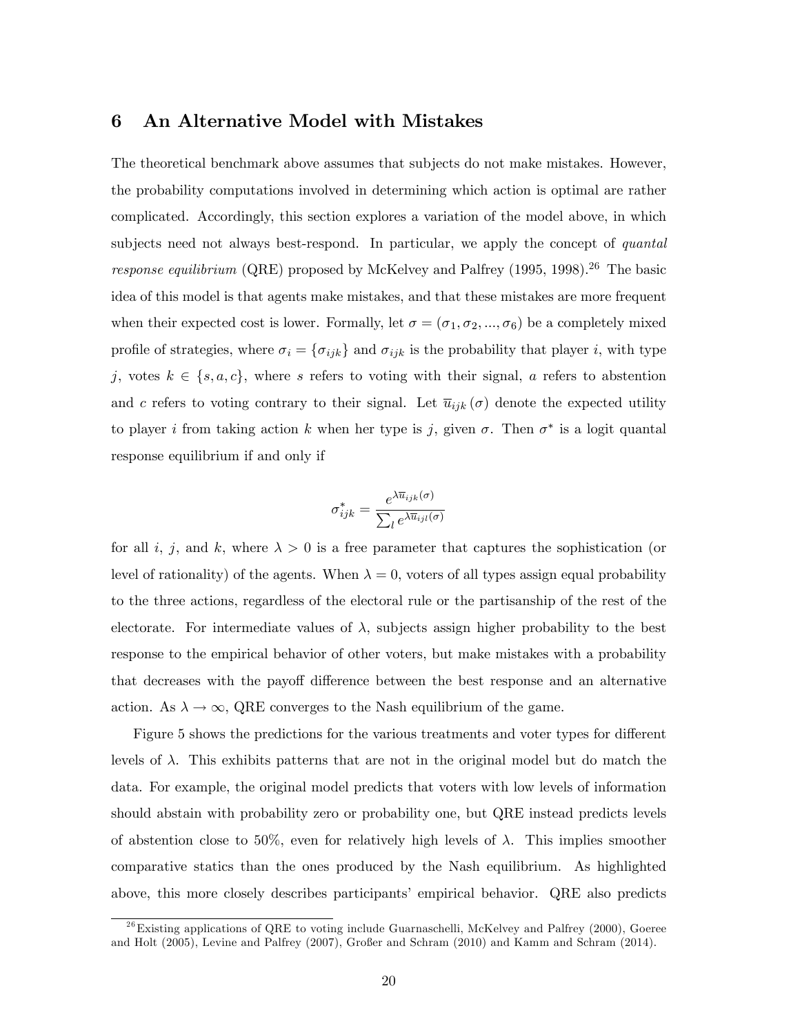## 6 An Alternative Model with Mistakes

The theoretical benchmark above assumes that subjects do not make mistakes. However, the probability computations involved in determining which action is optimal are rather complicated. Accordingly, this section explores a variation of the model above, in which subjects need not always best-respond. In particular, we apply the concept of *quantal* response equilibrium (QRE) proposed by McKelvey and Palfrey (1995, 1998).<sup>26</sup> The basic idea of this model is that agents make mistakes, and that these mistakes are more frequent when their expected cost is lower. Formally, let  $\sigma = (\sigma_1, \sigma_2, ..., \sigma_6)$  be a completely mixed profile of strategies, where  $\sigma_i = \{\sigma_{ijk}\}\$  and  $\sigma_{ijk}$  is the probability that player i, with type j, votes  $k \in \{s, a, c\}$ , where s refers to voting with their signal, a refers to abstention and c refers to voting contrary to their signal. Let  $\bar{u}_{ijk}(\sigma)$  denote the expected utility to player *i* from taking action *k* when her type is *j*, given  $\sigma$ . Then  $\sigma^*$  is a logit quantal response equilibrium if and only if

$$
\sigma_{ijk}^* = \frac{e^{\lambda \overline{u}_{ijk}(\sigma)}}{\sum_l e^{\lambda \overline{u}_{ijl}(\sigma)}}
$$

for all i, j, and k, where  $\lambda > 0$  is a free parameter that captures the sophistication (or level of rationality) of the agents. When  $\lambda = 0$ , voters of all types assign equal probability to the three actions, regardless of the electoral rule or the partisanship of the rest of the electorate. For intermediate values of  $\lambda$ , subjects assign higher probability to the best response to the empirical behavior of other voters, but make mistakes with a probability that decreases with the payoff difference between the best response and an alternative action. As  $\lambda \to \infty$ , QRE converges to the Nash equilibrium of the game.

Figure 5 shows the predictions for the various treatments and voter types for different levels of  $\lambda$ . This exhibits patterns that are not in the original model but do match the data. For example, the original model predicts that voters with low levels of information should abstain with probability zero or probability one, but QRE instead predicts levels of abstention close to 50%, even for relatively high levels of  $\lambda$ . This implies smoother comparative statics than the ones produced by the Nash equilibrium. As highlighted above, this more closely describes participantsí empirical behavior. QRE also predicts

 $^{26}$ Existing applications of QRE to voting include Guarnaschelli, McKelvey and Palfrey (2000), Goeree and Holt (2005), Levine and Palfrey (2007), Großer and Schram (2010) and Kamm and Schram (2014).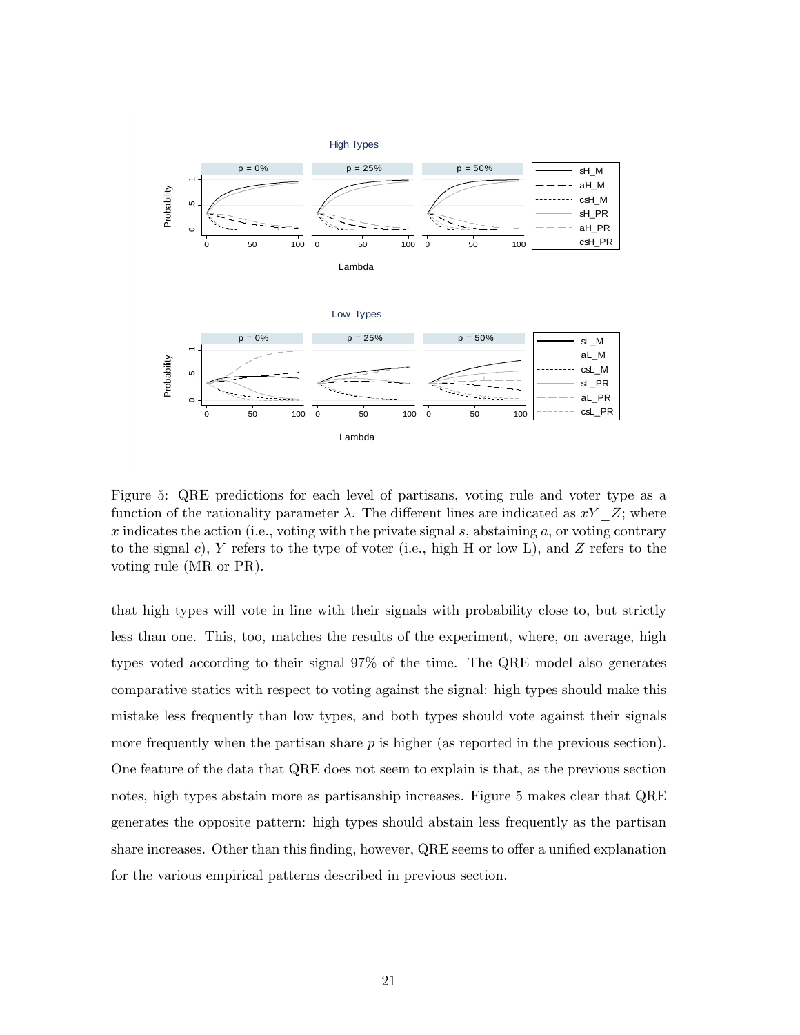

Figure 5: QRE predictions for each level of partisans, voting rule and voter type as a function of the rationality parameter  $\lambda$ . The different lines are indicated as  $xY$  Z; where x indicates the action (i.e., voting with the private signal  $s$ , abstaining  $a$ , or voting contrary to the signal c), Y refers to the type of voter (i.e., high H or low L), and Z refers to the voting rule (MR or PR).

that high types will vote in line with their signals with probability close to, but strictly less than one. This, too, matches the results of the experiment, where, on average, high types voted according to their signal 97% of the time. The QRE model also generates comparative statics with respect to voting against the signal: high types should make this mistake less frequently than low types, and both types should vote against their signals more frequently when the partisan share  $p$  is higher (as reported in the previous section). One feature of the data that QRE does not seem to explain is that, as the previous section notes, high types abstain more as partisanship increases. Figure 5 makes clear that QRE generates the opposite pattern: high types should abstain less frequently as the partisan share increases. Other than this finding, however, QRE seems to offer a unified explanation for the various empirical patterns described in previous section.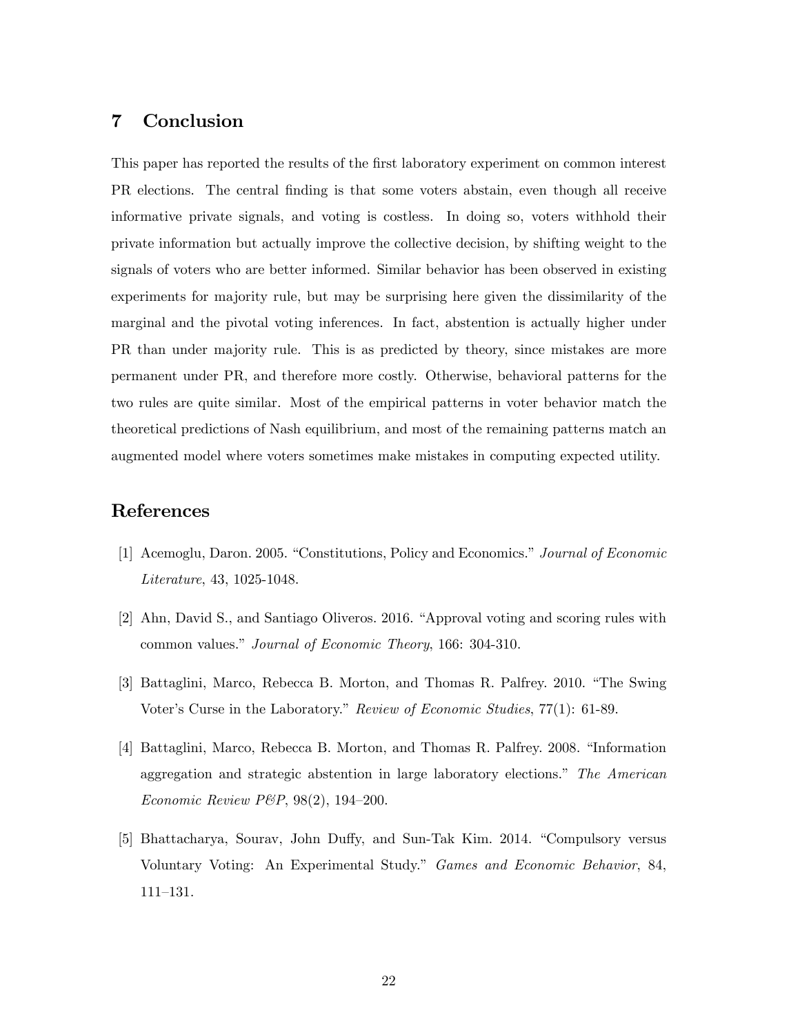## 7 Conclusion

This paper has reported the results of the first laboratory experiment on common interest PR elections. The central finding is that some voters abstain, even though all receive informative private signals, and voting is costless. In doing so, voters withhold their private information but actually improve the collective decision, by shifting weight to the signals of voters who are better informed. Similar behavior has been observed in existing experiments for majority rule, but may be surprising here given the dissimilarity of the marginal and the pivotal voting inferences. In fact, abstention is actually higher under PR than under majority rule. This is as predicted by theory, since mistakes are more permanent under PR, and therefore more costly. Otherwise, behavioral patterns for the two rules are quite similar. Most of the empirical patterns in voter behavior match the theoretical predictions of Nash equilibrium, and most of the remaining patterns match an augmented model where voters sometimes make mistakes in computing expected utility.

# References

- [1] Acemoglu, Daron. 2005. "Constitutions, Policy and Economics." Journal of Economic Literature, 43, 1025-1048.
- [2] Ahn, David S., and Santiago Oliveros. 2016. "Approval voting and scoring rules with common values." Journal of Economic Theory, 166: 304-310.
- [3] Battaglini, Marco, Rebecca B. Morton, and Thomas R. Palfrey. 2010. "The Swing Voter's Curse in the Laboratory." Review of Economic Studies,  $77(1)$ : 61-89.
- [4] Battaglini, Marco, Rebecca B. Morton, and Thomas R. Palfrey. 2008. "Information aggregation and strategic abstention in large laboratory elections.<sup>"</sup> The American Economic Review P&P,  $98(2)$ , 194-200.
- [5] Bhattacharya, Sourav, John Duffy, and Sun-Tak Kim. 2014. "Compulsory versus Voluntary Voting: An Experimental Study.î Games and Economic Behavior, 84, 111-131.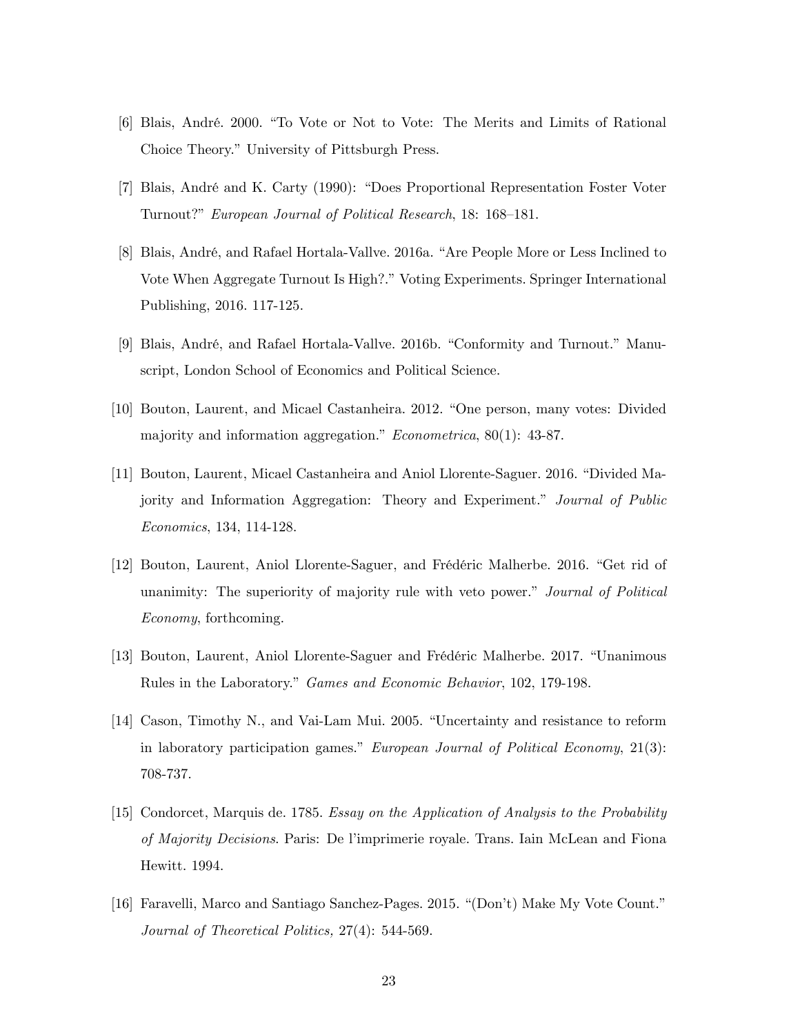- [6] Blais, André. 2000. "To Vote or Not to Vote: The Merits and Limits of Rational Choice Theory." University of Pittsburgh Press.
- [7] Blais, André and K. Carty (1990): "Does Proportional Representation Foster Voter Turnout?" European Journal of Political Research, 18: 168-181.
- [8] Blais, André, and Rafael Hortala-Vallve. 2016a. "Are People More or Less Inclined to Vote When Aggregate Turnout Is High?." Voting Experiments. Springer International Publishing, 2016. 117-125.
- [9] Blais, André, and Rafael Hortala-Vallve. 2016b. "Conformity and Turnout." Manuscript, London School of Economics and Political Science.
- [10] Bouton, Laurent, and Micael Castanheira. 2012. "One person, many votes: Divided majority and information aggregation."  $Econometrica$ , 80(1): 43-87.
- [11] Bouton, Laurent, Micael Castanheira and Aniol Llorente-Saguer. 2016. "Divided Majority and Information Aggregation: Theory and Experiment.<sup>n</sup> Journal of Public Economics, 134, 114-128.
- [12] Bouton, Laurent, Aniol Llorente-Saguer, and Frédéric Malherbe. 2016. "Get rid of unanimity: The superiority of majority rule with veto power." Journal of Political Economy, forthcoming.
- [13] Bouton, Laurent, Aniol Llorente-Saguer and Frédéric Malherbe. 2017. "Unanimous Rules in the Laboratory." Games and Economic Behavior, 102, 179-198.
- [14] Cason, Timothy N., and Vai-Lam Mui. 2005. "Uncertainty and resistance to reform in laboratory participation games." European Journal of Political Economy,  $21(3)$ : 708-737.
- [15] Condorcet, Marquis de. 1785. Essay on the Application of Analysis to the Probability of Majority Decisions. Paris: De líimprimerie royale. Trans. Iain McLean and Fiona Hewitt. 1994.
- [16] Faravelli, Marco and Santiago Sanchez-Pages. 2015. "(Don't) Make My Vote Count." Journal of Theoretical Politics, 27(4): 544-569.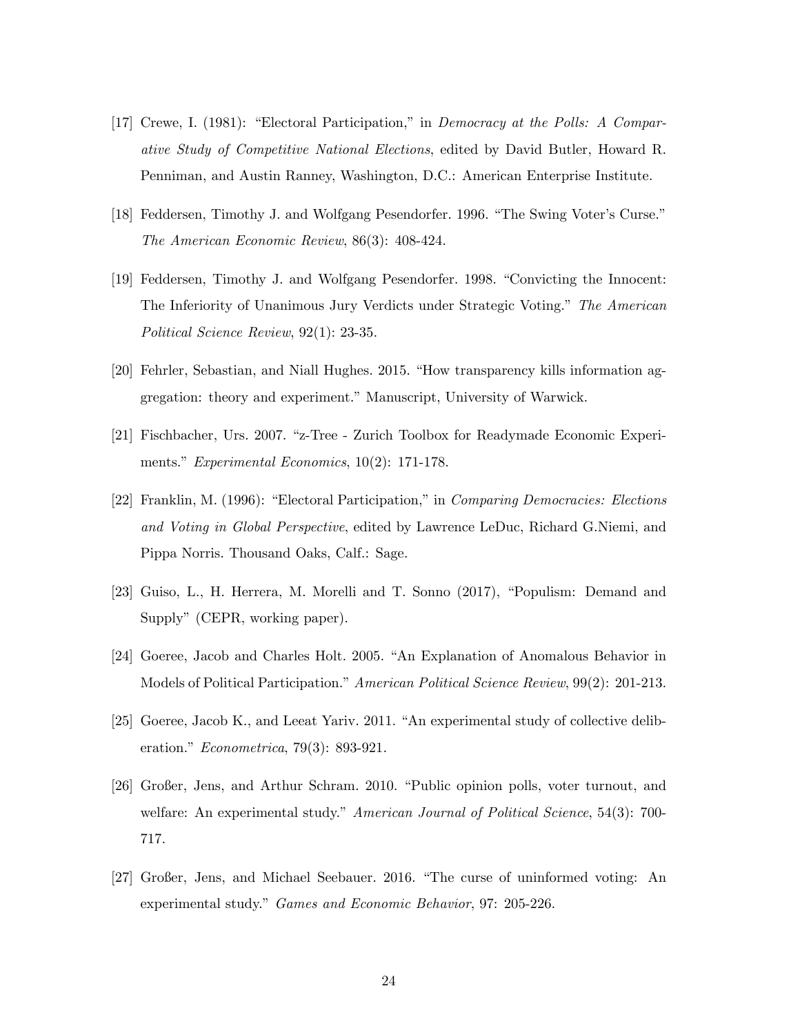- [17] Crewe, I. (1981): "Electoral Participation," in *Democracy at the Polls: A Compar*ative Study of Competitive National Elections, edited by David Butler, Howard R. Penniman, and Austin Ranney, Washington, D.C.: American Enterprise Institute.
- [18] Feddersen, Timothy J. and Wolfgang Pesendorfer. 1996. "The Swing Voter's Curse." The American Economic Review, 86(3): 408-424.
- [19] Feddersen, Timothy J. and Wolfgang Pesendorfer. 1998. "Convicting the Innocent: The Inferiority of Unanimous Jury Verdicts under Strategic Voting." The American Political Science Review, 92(1): 23-35.
- [20] Fehrler, Sebastian, and Niall Hughes. 2015. "How transparency kills information aggregation: theory and experiment." Manuscript, University of Warwick.
- [21] Fischbacher, Urs. 2007. "z-Tree Zurich Toolbox for Readymade Economic Experiments." Experimental Economics,  $10(2)$ : 171-178.
- [22] Franklin, M. (1996): "Electoral Participation," in *Comparing Democracies: Elections* and Voting in Global Perspective, edited by Lawrence LeDuc, Richard G.Niemi, and Pippa Norris. Thousand Oaks, Calf.: Sage.
- [23] Guiso, L., H. Herrera, M. Morelli and T. Sonno (2017), "Populism: Demand and Supply" (CEPR, working paper).
- [24] Goeree, Jacob and Charles Holt. 2005. "An Explanation of Anomalous Behavior in Models of Political Participation." American Political Science Review, 99(2): 201-213.
- $[25]$  Goeree, Jacob K., and Leeat Yariv. 2011. "An experimental study of collective deliberation."  $Econometrica$ , 79(3): 893-921.
- [26] Großer, Jens, and Arthur Schram. 2010. "Public opinion polls, voter turnout, and welfare: An experimental study." American Journal of Political Science,  $54(3)$ : 700-717.
- [27] Großer, Jens, and Michael Seebauer. 2016. "The curse of uninformed voting: An experimental study." Games and Economic Behavior, 97: 205-226.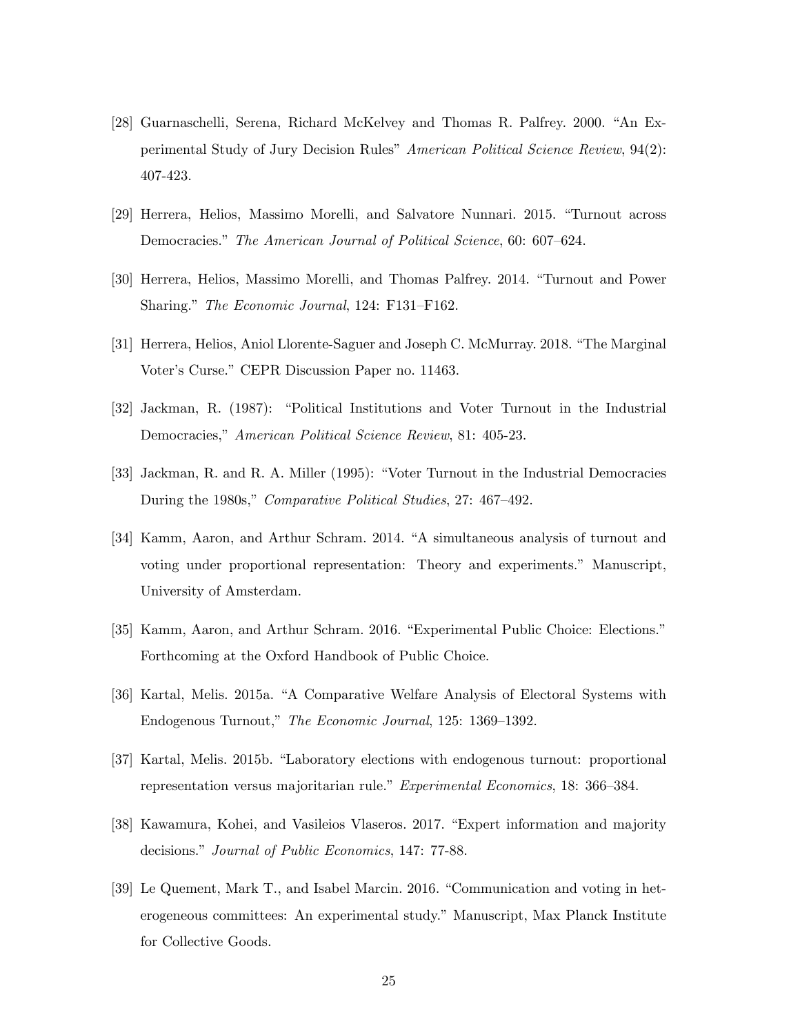- [28] Guarnaschelli, Serena, Richard McKelvey and Thomas R. Palfrey. 2000. "An Experimental Study of Jury Decision Rules" American Political Science Review, 94(2): 407-423.
- [29] Herrera, Helios, Massimo Morelli, and Salvatore Nunnari. 2015. "Turnout across Democracies." The American Journal of Political Science, 60: 607–624.
- [30] Herrera, Helios, Massimo Morelli, and Thomas Palfrey. 2014. "Turnout and Power Sharing." The Economic Journal, 124: F131–F162.
- [31] Herrera, Helios, Aniol Llorente-Saguer and Joseph C. McMurray. 2018. "The Marginal Voter's Curse." CEPR Discussion Paper no. 11463.
- [32] Jackman, R. (1987): "Political Institutions and Voter Turnout in the Industrial Democracies," American Political Science Review, 81: 405-23.
- [33] Jackman, R. and R. A. Miller (1995): "Voter Turnout in the Industrial Democracies During the 1980s," Comparative Political Studies, 27: 467–492.
- [34] Kamm, Aaron, and Arthur Schram. 2014. "A simultaneous analysis of turnout and voting under proportional representation: Theory and experiments.î Manuscript, University of Amsterdam.
- [35] Kamm, Aaron, and Arthur Schram. 2016. "Experimental Public Choice: Elections." Forthcoming at the Oxford Handbook of Public Choice.
- [36] Kartal, Melis. 2015a. "A Comparative Welfare Analysis of Electoral Systems with Endogenous Turnout," The Economic Journal, 125: 1369–1392.
- [37] Kartal, Melis. 2015b. "Laboratory elections with endogenous turnout: proportional representation versus majoritarian rule." Experimental Economics, 18: 366–384.
- [38] Kawamura, Kohei, and Vasileios Vlaseros. 2017. "Expert information and majority decisions." *Journal of Public Economics*, 147: 77-88.
- [39] Le Quement, Mark T., and Isabel Marcin. 2016. "Communication and voting in heterogeneous committees: An experimental study." Manuscript, Max Planck Institute for Collective Goods.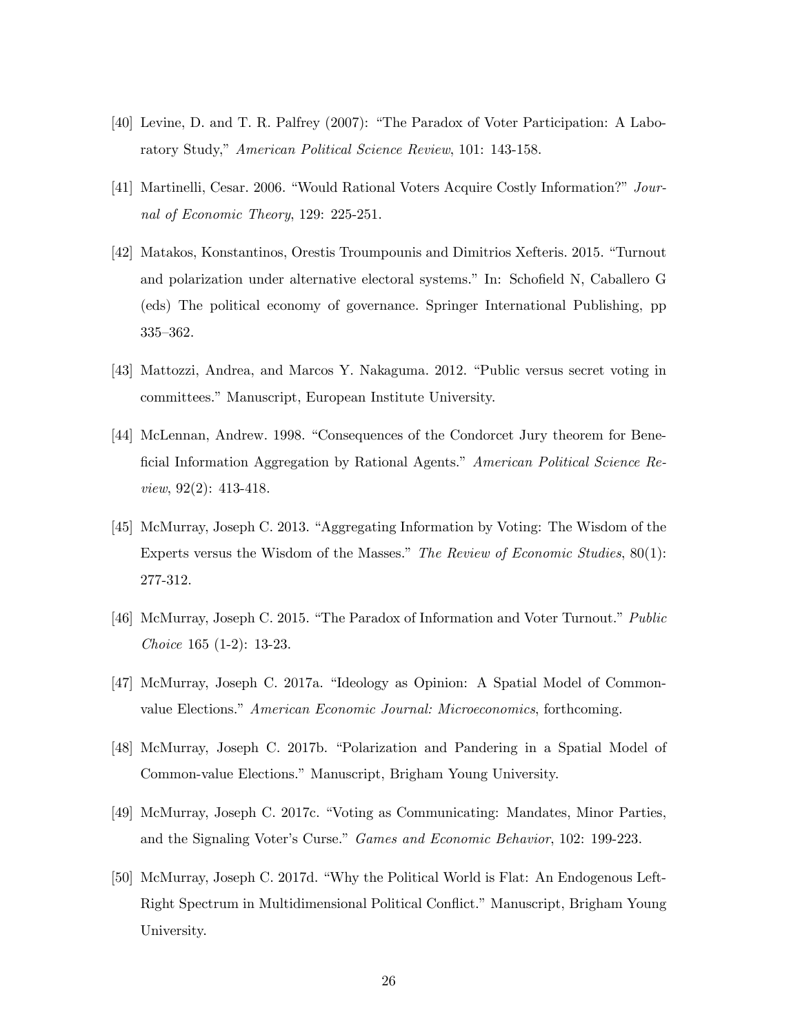- $[40]$  Levine, D. and T. R. Palfrey  $(2007)$ : "The Paradox of Voter Participation: A Laboratory Study," American Political Science Review, 101: 143-158.
- [41] Martinelli, Cesar. 2006. "Would Rational Voters Acquire Costly Information?" Journal of Economic Theory, 129: 225-251.
- [42] Matakos, Konstantinos, Orestis Troumpounis and Dimitrios Xefteris. 2015. "Turnout and polarization under alternative electoral systems." In: Schofield N, Caballero G (eds) The political economy of governance. Springer International Publishing, pp  $335 - 362.$
- [43] Mattozzi, Andrea, and Marcos Y. Nakaguma. 2012. "Public versus secret voting in committees." Manuscript, European Institute University.
- [44] McLennan, Andrew. 1998. "Consequences of the Condorcet Jury theorem for Beneficial Information Aggregation by Rational Agents.<sup>n</sup> American Political Science Review, 92(2): 413-418.
- [45] McMurray, Joseph C. 2013. "Aggregating Information by Voting: The Wisdom of the Experts versus the Wisdom of the Masses." The Review of Economic Studies,  $80(1)$ : 277-312.
- [46] McMurray, Joseph C. 2015. "The Paradox of Information and Voter Turnout." Public Choice 165 (1-2): 13-23.
- [47] McMurray, Joseph C. 2017a. "Ideology as Opinion: A Spatial Model of Commonvalue Elections." American Economic Journal: Microeconomics, forthcoming.
- [48] McMurray, Joseph C. 2017b. "Polarization and Pandering in a Spatial Model of Common-value Elections." Manuscript, Brigham Young University.
- [49] McMurray, Joseph C. 2017c. "Voting as Communicating: Mandates, Minor Parties, and the Signaling Voter's Curse." Games and Economic Behavior, 102: 199-223.
- [50] McMurray, Joseph C. 2017d. "Why the Political World is Flat: An Endogenous Left-Right Spectrum in Multidimensional Political Conflict." Manuscript, Brigham Young University.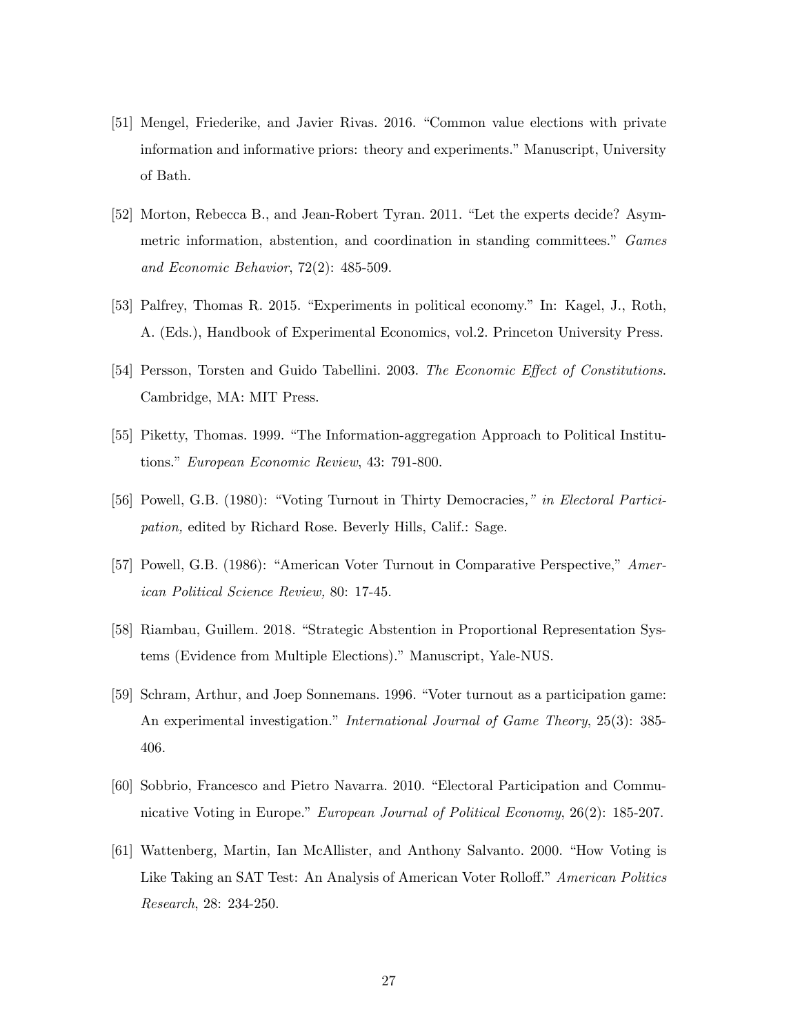- [51] Mengel, Friederike, and Javier Rivas. 2016. "Common value elections with private information and informative priors: theory and experiments." Manuscript, University of Bath.
- [52] Morton, Rebecca B., and Jean-Robert Tyran. 2011. "Let the experts decide? Asymmetric information, abstention, and coordination in standing committees." Games and Economic Behavior, 72(2): 485-509.
- [53] Palfrey, Thomas R. 2015. "Experiments in political economy." In: Kagel, J., Roth, A. (Eds.), Handbook of Experimental Economics, vol.2. Princeton University Press.
- [54] Persson, Torsten and Guido Tabellini. 2003. The Economic Effect of Constitutions. Cambridge, MA: MIT Press.
- [55] Piketty, Thomas. 1999. "The Information-aggregation Approach to Political Institutions." European Economic Review, 43: 791-800.
- [56] Powell, G.B. (1980): "Voting Turnout in Thirty Democracies," in Electoral Participation, edited by Richard Rose. Beverly Hills, Calif.: Sage.
- [57] Powell, G.B. (1986): "American Voter Turnout in Comparative Perspective," American Political Science Review, 80: 17-45.
- [58] Riambau, Guillem. 2018. "Strategic Abstention in Proportional Representation Systems (Evidence from Multiple Elections)." Manuscript, Yale-NUS.
- [59] Schram, Arthur, and Joep Sonnemans. 1996. "Voter turnout as a participation game: An experimental investigation." International Journal of Game Theory, 25(3): 385-406.
- [60] Sobbrio, Francesco and Pietro Navarra. 2010. "Electoral Participation and Communicative Voting in Europe." European Journal of Political Economy, 26(2): 185-207.
- [61] Wattenberg, Martin, Ian McAllister, and Anthony Salvanto. 2000. "How Voting is Like Taking an SAT Test: An Analysis of American Voter Rolloff." American Politics Research, 28: 234-250.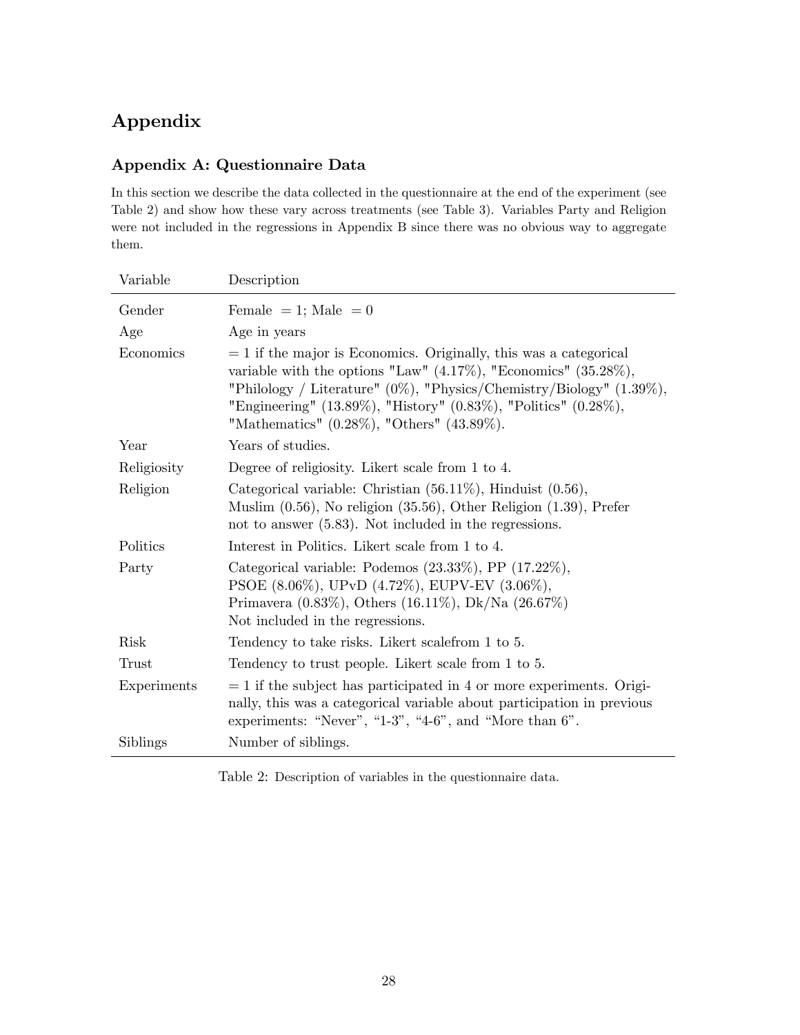# Appendix

## Appendix A: Questionnaire Data

In this section we describe the data collected in the questionnaire at the end of the experiment (see Table 2) and show how these vary across treatments (see Table 3). Variables Party and Religion were not included in the regressions in Appendix B since there was no obvious way to aggregate them.

| Variable    | Description                                                                                                                                                                                                                                                                                                                                               |
|-------------|-----------------------------------------------------------------------------------------------------------------------------------------------------------------------------------------------------------------------------------------------------------------------------------------------------------------------------------------------------------|
| Gender      | Female = 1; Male = 0                                                                                                                                                                                                                                                                                                                                      |
| Age         | Age in years                                                                                                                                                                                                                                                                                                                                              |
| Economics   | $= 1$ if the major is Economics. Originally, this was a categorical<br>variable with the options "Law" $(4.17\%)$ , "Economics" $(35.28\%),$<br>"Philology / Literature" $(0\%)$ , "Physics/Chemistry/Biology" $(1.39\%),$<br>"Engineering" $(13.89\%),$ "History" $(0.83\%),$ "Politics" $(0.28\%),$<br>"Mathematics" $(0.28\%)$ , "Others" $(43.89\%).$ |
| Year        | Years of studies.                                                                                                                                                                                                                                                                                                                                         |
| Religiosity | Degree of religiosity. Likert scale from 1 to 4.                                                                                                                                                                                                                                                                                                          |
| Religion    | Categorical variable: Christian $(56.11\%)$ , Hinduist $(0.56)$ ,<br>Muslim $(0.56)$ , No religion $(35.56)$ , Other Religion $(1.39)$ , Prefer<br>not to answer $(5.83)$ . Not included in the regressions.                                                                                                                                              |
| Politics    | Interest in Politics. Likert scale from 1 to 4.                                                                                                                                                                                                                                                                                                           |
| Party       | Categorical variable: Podemos $(23.33\%),$ PP $(17.22\%),$<br>PSOE (8.06%), UPvD (4.72%), EUPV-EV (3.06%),<br>Primavera $(0.83\%),$ Others $(16.11\%),$ Dk/Na $(26.67\%)$<br>Not included in the regressions.                                                                                                                                             |
| <b>Risk</b> | Tendency to take risks. Likert scale from 1 to 5.                                                                                                                                                                                                                                                                                                         |
| Trust       | Tendency to trust people. Likert scale from 1 to 5.                                                                                                                                                                                                                                                                                                       |
| Experiments | $= 1$ if the subject has participated in 4 or more experiments. Origi-<br>nally, this was a categorical variable about participation in previous<br>experiments: "Never", "1-3", "4-6", and "More than $6$ ".                                                                                                                                             |
| Siblings    | Number of siblings.                                                                                                                                                                                                                                                                                                                                       |

Table 2: Description of variables in the questionnaire data.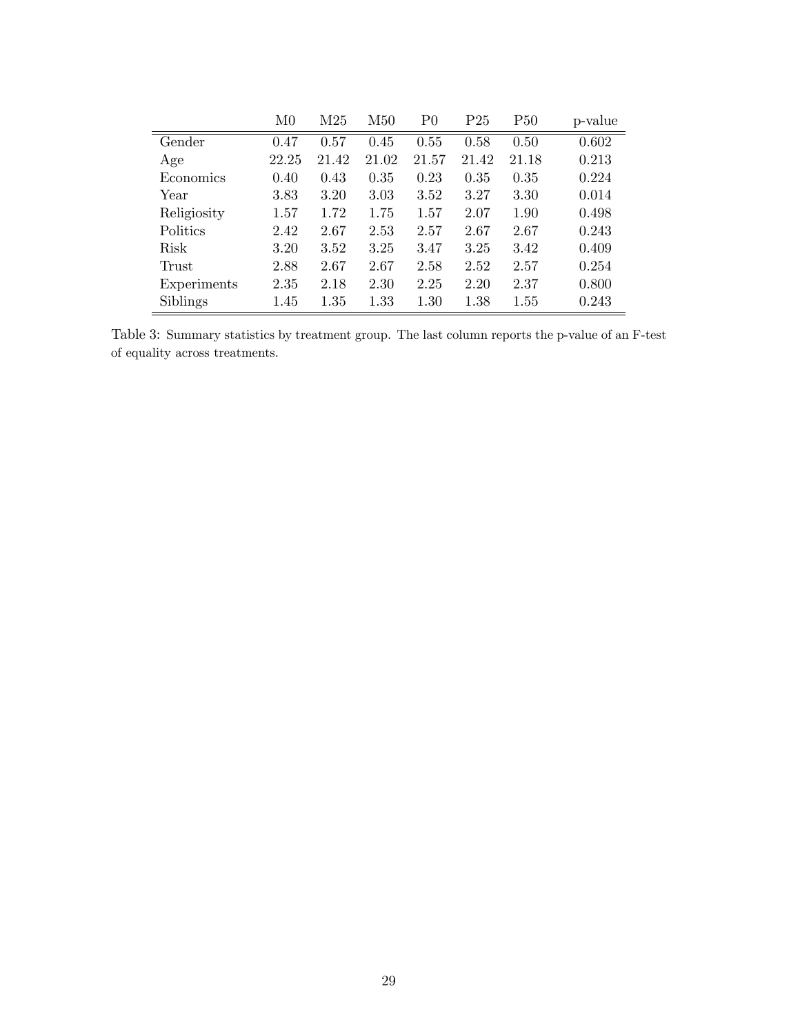|             | M <sub>0</sub> | M25   | M50   | P <sub>0</sub> | $\rm P25$ | P50   | p-value |
|-------------|----------------|-------|-------|----------------|-----------|-------|---------|
| Gender      | 0.47           | 0.57  | 0.45  | 0.55           | 0.58      | 0.50  | 0.602   |
| Age         | 22.25          | 21.42 | 21.02 | 21.57          | 21.42     | 21.18 | 0.213   |
| Economics   | 0.40           | 0.43  | 0.35  | 0.23           | 0.35      | 0.35  | 0.224   |
| Year        | 3.83           | 3.20  | 3.03  | 3.52           | 3.27      | 3.30  | 0.014   |
| Religiosity | 1.57           | 1.72  | 1.75  | 1.57           | 2.07      | 1.90  | 0.498   |
| Politics    | 2.42           | 2.67  | 2.53  | 2.57           | 2.67      | 2.67  | 0.243   |
| Risk        | 3.20           | 3.52  | 3.25  | 3.47           | 3.25      | 3.42  | 0.409   |
| Trust       | 2.88           | 2.67  | 2.67  | 2.58           | 2.52      | 2.57  | 0.254   |
| Experiments | 2.35           | 2.18  | 2.30  | 2.25           | 2.20      | 2.37  | 0.800   |
| Siblings    | 1.45           | 1.35  | 1.33  | 1.30           | 1.38      | 1.55  | 0.243   |

Table 3: Summary statistics by treatment group. The last column reports the p-value of an F-test of equality across treatments.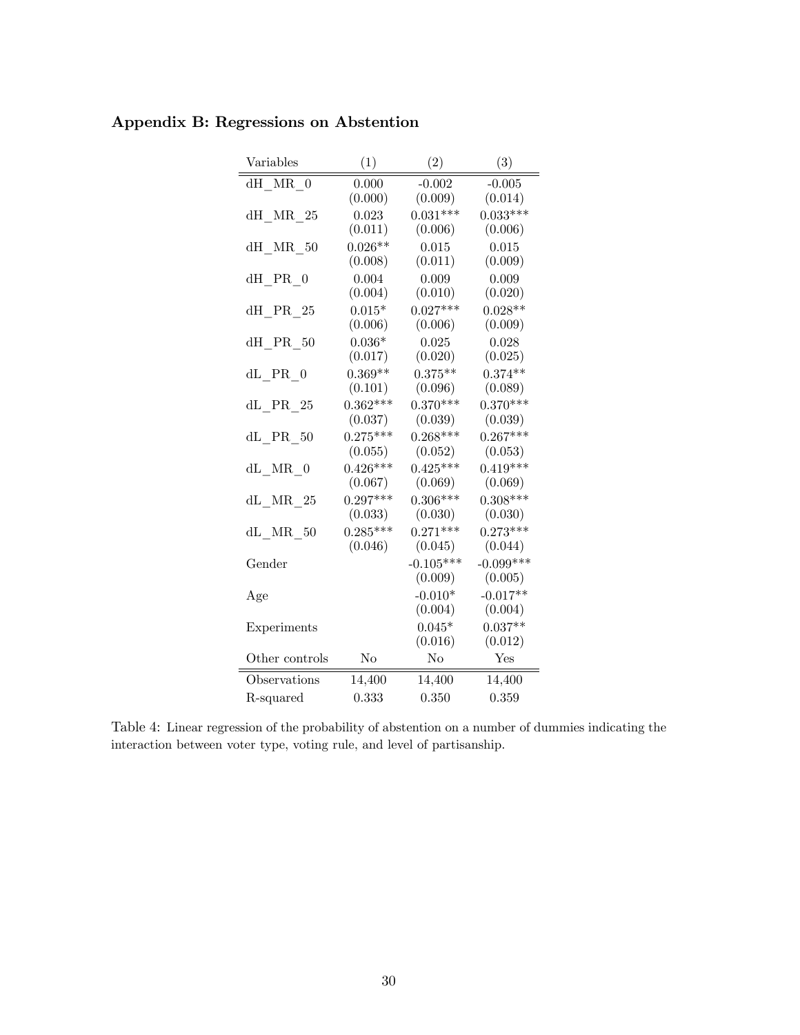| Variables               | (1)        | (2)            | (3)         |
|-------------------------|------------|----------------|-------------|
| dH MR 0                 | 0.000      | $-0.002$       | $-0.005$    |
|                         | (0.000)    | (0.009)        | (0.014)     |
| $dH_MRR_25$             | 0.023      | $0.031***$     | $0.033***$  |
|                         | (0.011)    | (0.006)        | (0.006)     |
| dH MR 50                | $0.026**$  | 0.015          | 0.015       |
|                         | (0.008)    | (0.011)        | (0.009)     |
| dH PR 0                 | 0.004      | 0.009          | 0.009       |
|                         | (0.004)    | (0.010)        | (0.020)     |
| dH PR 25                | $0.015*$   | $0.027***$     | $0.028**$   |
|                         | (0.006)    | (0.006)        | (0.009)     |
| dH PR 50                | $0.036*$   | 0.025          | 0.028       |
|                         | (0.017)    | (0.020)        | (0.025)     |
| $dL$ PR $0$             | $0.369**$  | $0.375***$     | $0.374**$   |
|                         | (0.101)    | (0.096)        | (0.089)     |
| $dL$ <sup>PR</sup> $25$ | $0.362***$ | $0.370***$     | $0.370***$  |
|                         | (0.037)    | (0.039)        | (0.039)     |
| $dL$ PR $50$            | $0.275***$ | $0.268***$     | $0.267***$  |
|                         | (0.055)    | (0.052)        | (0.053)     |
| $dL$ MR $0$             | $0.426***$ | $0.425***$     | $0.419***$  |
|                         | (0.067)    | (0.069)        | (0.069)     |
| $dL$ MR $25$            | $0.297***$ | $0.306***$     | $0.308***$  |
|                         | (0.033)    | (0.030)        | (0.030)     |
| $dL$ MR $50$            | $0.285***$ | $0.271***$     | $0.273***$  |
|                         | (0.046)    | (0.045)        | (0.044)     |
| Gender                  |            | $-0.105***$    | $-0.099***$ |
|                         |            | (0.009)        | (0.005)     |
| Age                     |            | $-0.010*$      | $-0.017**$  |
|                         |            | (0.004)        | (0.004)     |
| Experiments             |            | $0.045*$       | $0.037**$   |
|                         |            | (0.016)        | (0.012)     |
| Other controls          | No         | N <sub>o</sub> | Yes         |
| Observations            | 14,400     | 14,400         | 14,400      |
| R-squared               | 0.333      | 0.350          | 0.359       |

## Appendix B: Regressions on Abstention

Table 4: Linear regression of the probability of abstention on a number of dummies indicating the interaction between voter type, voting rule, and level of partisanship.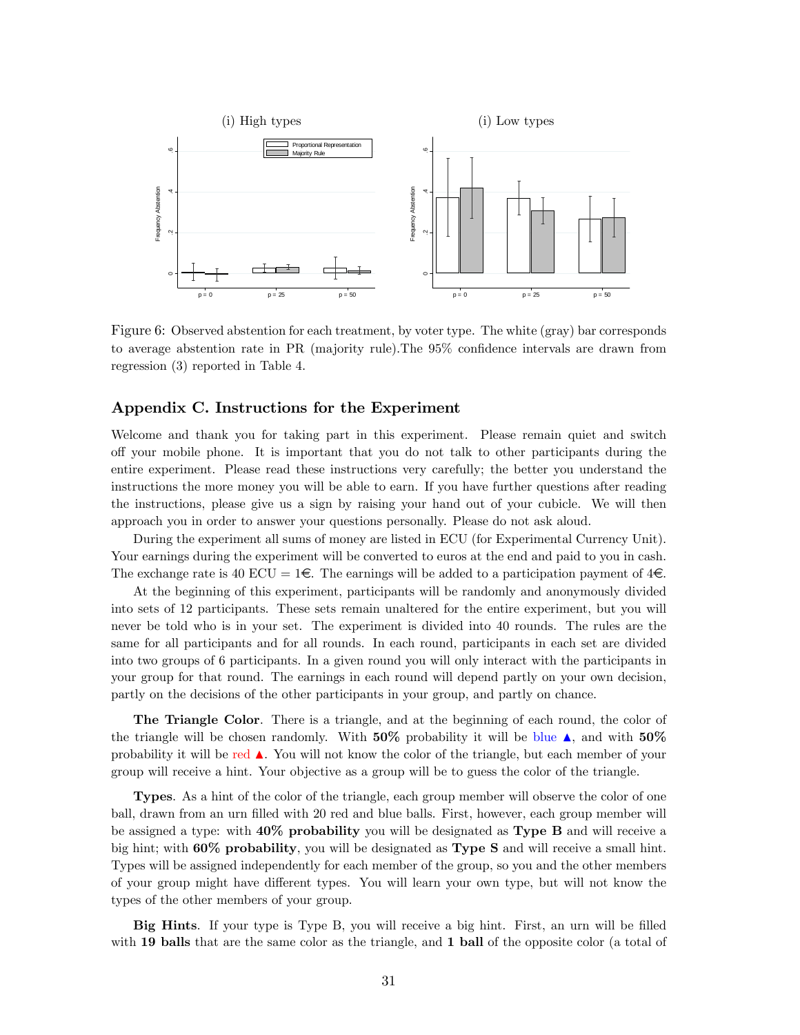

Figure 6: Observed abstention for each treatment, by voter type. The white (gray) bar corresponds to average abstention rate in PR (majority rule). The 95% confidence intervals are drawn from regression (3) reported in Table 4.

#### Appendix C. Instructions for the Experiment

Welcome and thank you for taking part in this experiment. Please remain quiet and switch o§ your mobile phone. It is important that you do not talk to other participants during the entire experiment. Please read these instructions very carefully; the better you understand the instructions the more money you will be able to earn. If you have further questions after reading the instructions, please give us a sign by raising your hand out of your cubicle. We will then approach you in order to answer your questions personally. Please do not ask aloud.

During the experiment all sums of money are listed in ECU (for Experimental Currency Unit). Your earnings during the experiment will be converted to euros at the end and paid to you in cash. The exchange rate is 40 ECU =  $1 \in \mathbb{R}$ . The earnings will be added to a participation payment of  $4 \in \mathbb{R}$ .

At the beginning of this experiment, participants will be randomly and anonymously divided into sets of 12 participants. These sets remain unaltered for the entire experiment, but you will never be told who is in your set. The experiment is divided into 40 rounds. The rules are the same for all participants and for all rounds. In each round, participants in each set are divided into two groups of 6 participants. In a given round you will only interact with the participants in your group for that round. The earnings in each round will depend partly on your own decision, partly on the decisions of the other participants in your group, and partly on chance.

The Triangle Color. There is a triangle, and at the beginning of each round, the color of the triangle will be chosen randomly. With  $50\%$  probability it will be blue A, and with  $50\%$ probability it will be red  $\blacktriangle$ . You will not know the color of the triangle, but each member of your group will receive a hint. Your objective as a group will be to guess the color of the triangle.

Types. As a hint of the color of the triangle, each group member will observe the color of one ball, drawn from an urn filled with 20 red and blue balls. First, however, each group member will be assigned a type: with 40% probability you will be designated as Type B and will receive a big hint; with 60% probability, you will be designated as Type S and will receive a small hint. Types will be assigned independently for each member of the group, so you and the other members of your group might have different types. You will learn your own type, but will not know the types of the other members of your group.

Big Hints. If your type is Type B, you will receive a big hint. First, an urn will be filled with 19 balls that are the same color as the triangle, and 1 ball of the opposite color (a total of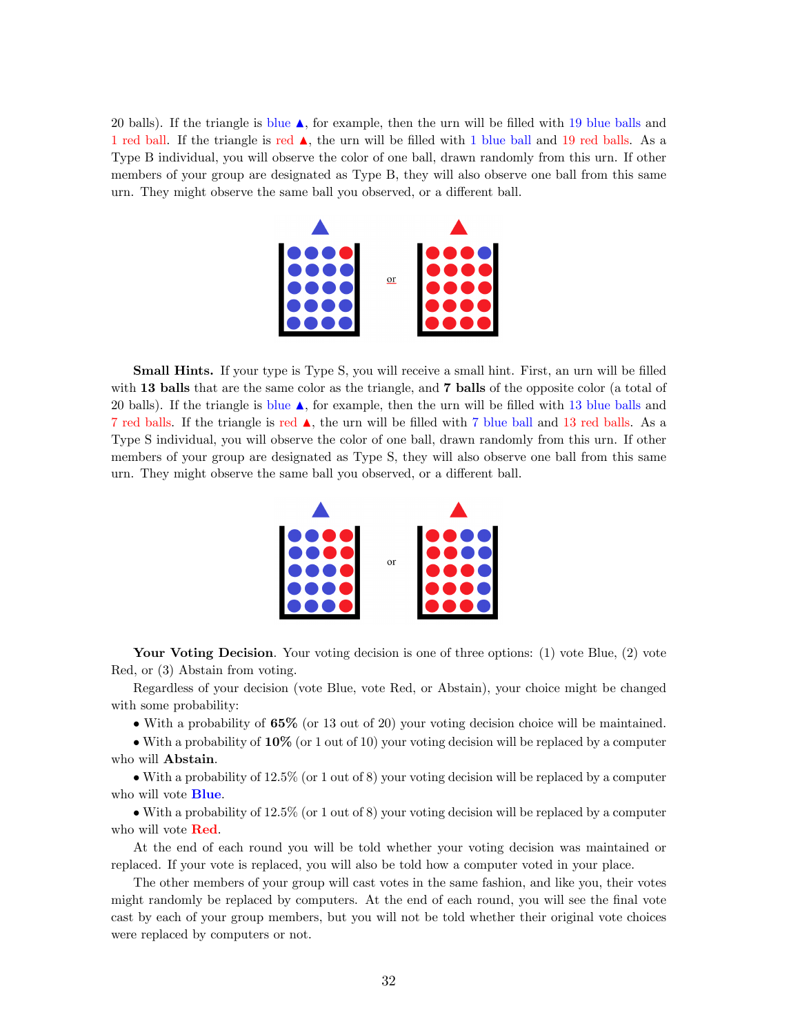20 balls). If the triangle is blue  $\triangle$ , for example, then the urn will be filled with 19 blue balls and 1 red ball. If the triangle is red  $\blacktriangle$ , the urn will be filled with 1 blue ball and 19 red balls. As a Type B individual, you will observe the color of one ball, drawn randomly from this urn. If other members of your group are designated as Type B, they will also observe one ball from this same urn. They might observe the same ball you observed, or a different ball.



**Small Hints.** If your type is Type S, you will receive a small hint. First, an urn will be filled with 13 balls that are the same color as the triangle, and 7 balls of the opposite color (a total of 20 balls). If the triangle is blue  $\triangle$ , for example, then the urn will be filled with 13 blue balls and 7 red balls. If the triangle is red  $\blacktriangle$ , the urn will be filled with 7 blue ball and 13 red balls. As a Type S individual, you will observe the color of one ball, drawn randomly from this urn. If other members of your group are designated as Type S, they will also observe one ball from this same urn. They might observe the same ball you observed, or a different ball.



Your Voting Decision. Your voting decision is one of three options: (1) vote Blue, (2) vote Red, or (3) Abstain from voting.

Regardless of your decision (vote Blue, vote Red, or Abstain), your choice might be changed with some probability:

With a probability of 65% (or 13 out of 20) your voting decision choice will be maintained.

 $\bullet$  With a probability of 10% (or 1 out of 10) your voting decision will be replaced by a computer who will Abstain.

 $\bullet$  With a probability of 12.5% (or 1 out of 8) your voting decision will be replaced by a computer who will vote **Blue**.

 With a probability of 12.5% (or 1 out of 8) your voting decision will be replaced by a computer who will vote **Red**.

At the end of each round you will be told whether your voting decision was maintained or replaced. If your vote is replaced, you will also be told how a computer voted in your place.

The other members of your group will cast votes in the same fashion, and like you, their votes might randomly be replaced by computers. At the end of each round, you will see the final vote cast by each of your group members, but you will not be told whether their original vote choices were replaced by computers or not.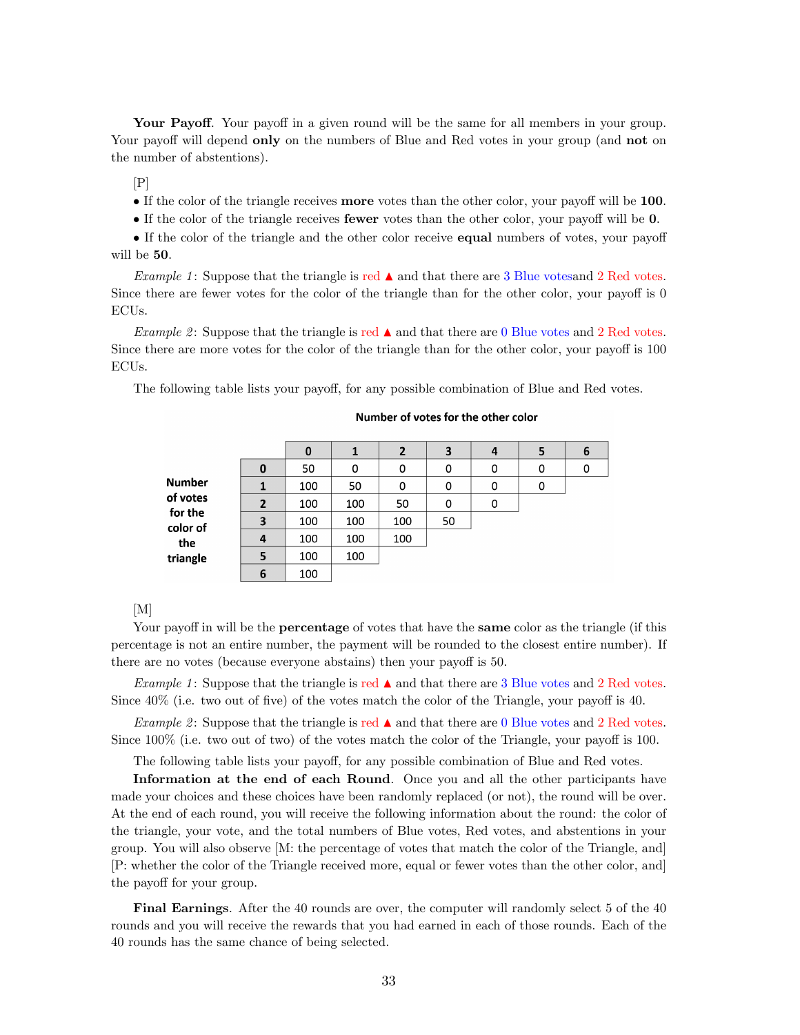Your Payoff. Your payoff in a given round will be the same for all members in your group. Your payoff will depend **only** on the numbers of Blue and Red votes in your group (and **not** on the number of abstentions).

 $[P]$ 

If the color of the triangle receives **more** votes than the other color, your payoff will be  $100$ .

If the color of the triangle receives **fewer** votes than the other color, your payoff will be  $0$ .

If the color of the triangle and the other color receive **equal** numbers of votes, your payoff will be 50.

Example 1: Suppose that the triangle is red  $\blacktriangle$  and that there are 3 Blue votes and 2 Red votes. Since there are fewer votes for the color of the triangle than for the other color, your payoff is  $0$ ECUs.

Example 2: Suppose that the triangle is red  $\blacktriangle$  and that there are 0 Blue votes and 2 Red votes. Since there are more votes for the color of the triangle than for the other color, your payoff is 100 ECUs.

The following table lists your payoff, for any possible combination of Blue and Red votes.

|                            |                | 0   |     | 2   | 3  | 4 | 5 | 6 |
|----------------------------|----------------|-----|-----|-----|----|---|---|---|
| <b>Number</b>              | 0              | 50  | 0   | 0   | 0  | 0 | 0 | 0 |
|                            | 1              | 100 | 50  | 0   | 0  | 0 | 0 |   |
| of votes                   | $\overline{2}$ | 100 | 100 | 50  | 0  | 0 |   |   |
| for the<br>color of<br>the | 3              | 100 | 100 | 100 | 50 |   |   |   |
|                            | 4              | 100 | 100 | 100 |    |   |   |   |
| triangle                   | 5              | 100 | 100 |     |    |   |   |   |
|                            | 6              | 100 |     |     |    |   |   |   |

#### Number of votes for the other color

[M]

Your payoff in will be the **percentage** of votes that have the **same** color as the triangle (if this percentage is not an entire number, the payment will be rounded to the closest entire number). If there are no votes (because everyone abstains) then your payoff is 50.

Example 1: Suppose that the triangle is red  $\blacktriangle$  and that there are 3 Blue votes and 2 Red votes. Since  $40\%$  (i.e. two out of five) of the votes match the color of the Triangle, your payoff is 40.

Example 2: Suppose that the triangle is red  $\blacktriangle$  and that there are 0 Blue votes and 2 Red votes. Since  $100\%$  (i.e. two out of two) of the votes match the color of the Triangle, your payoff is 100.

The following table lists your payoff, for any possible combination of Blue and Red votes.

Information at the end of each Round. Once you and all the other participants have made your choices and these choices have been randomly replaced (or not), the round will be over. At the end of each round, you will receive the following information about the round: the color of the triangle, your vote, and the total numbers of Blue votes, Red votes, and abstentions in your group. You will also observe [M: the percentage of votes that match the color of the Triangle, and] [P: whether the color of the Triangle received more, equal or fewer votes than the other color, and] the payoff for your group.

Final Earnings. After the 40 rounds are over, the computer will randomly select 5 of the 40 rounds and you will receive the rewards that you had earned in each of those rounds. Each of the 40 rounds has the same chance of being selected.